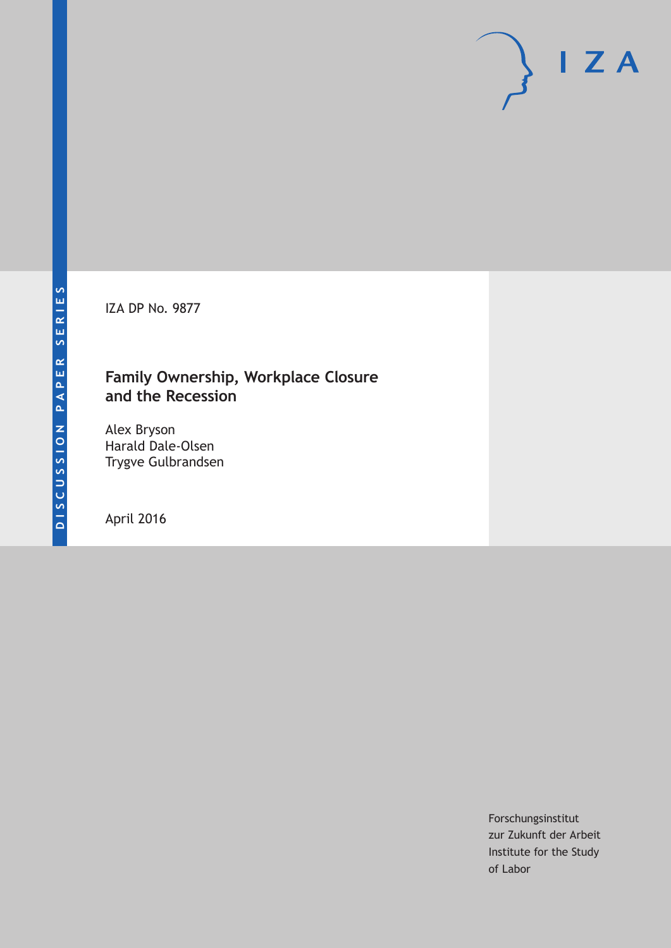IZA DP No. 9877

## **Family Ownership, Workplace Closure and the Recession**

Alex Bryson Harald Dale-Olsen Trygve Gulbrandsen

April 2016

Forschungsinstitut zur Zukunft der Arbeit Institute for the Study of Labor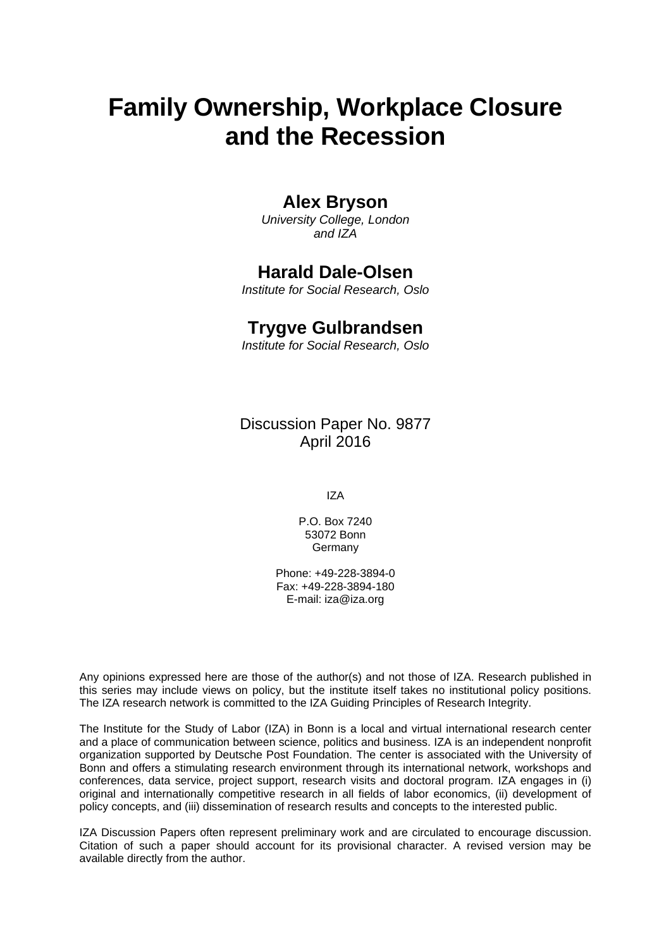# **Family Ownership, Workplace Closure and the Recession**

### **Alex Bryson**

*University College, London and IZA* 

## **Harald Dale-Olsen**

*Institute for Social Research, Oslo* 

### **Trygve Gulbrandsen**

*Institute for Social Research, Oslo*

Discussion Paper No. 9877 April 2016

IZA

P.O. Box 7240 53072 Bonn **Germany** 

Phone: +49-228-3894-0 Fax: +49-228-3894-180 E-mail: iza@iza.org

Any opinions expressed here are those of the author(s) and not those of IZA. Research published in this series may include views on policy, but the institute itself takes no institutional policy positions. The IZA research network is committed to the IZA Guiding Principles of Research Integrity.

The Institute for the Study of Labor (IZA) in Bonn is a local and virtual international research center and a place of communication between science, politics and business. IZA is an independent nonprofit organization supported by Deutsche Post Foundation. The center is associated with the University of Bonn and offers a stimulating research environment through its international network, workshops and conferences, data service, project support, research visits and doctoral program. IZA engages in (i) original and internationally competitive research in all fields of labor economics, (ii) development of policy concepts, and (iii) dissemination of research results and concepts to the interested public.

IZA Discussion Papers often represent preliminary work and are circulated to encourage discussion. Citation of such a paper should account for its provisional character. A revised version may be available directly from the author.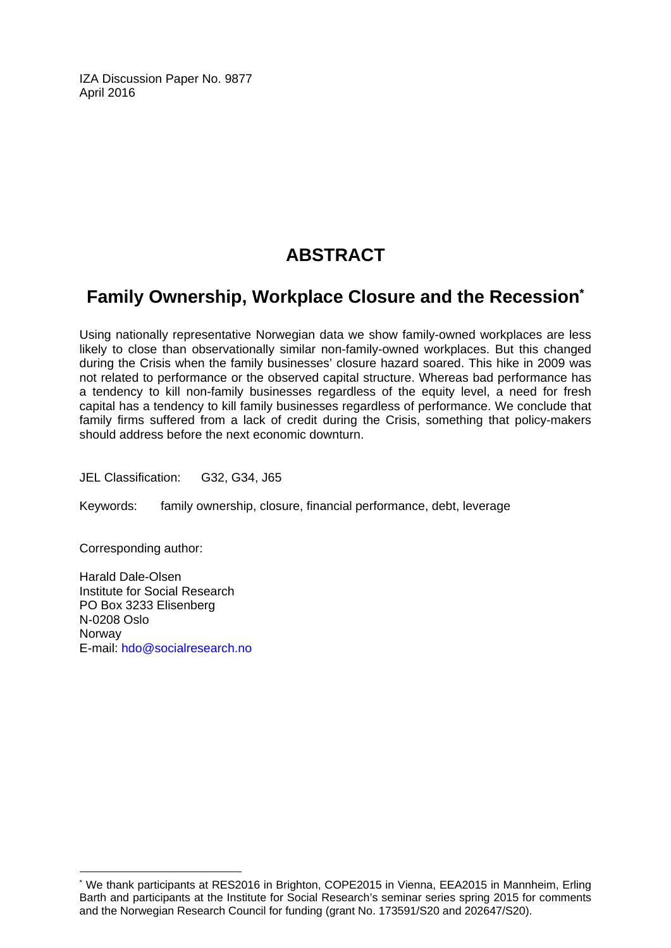IZA Discussion Paper No. 9877 April 2016

## **ABSTRACT**

## **Family Ownership, Workplace Closure and the Recession\***

Using nationally representative Norwegian data we show family-owned workplaces are less likely to close than observationally similar non-family-owned workplaces. But this changed during the Crisis when the family businesses' closure hazard soared. This hike in 2009 was not related to performance or the observed capital structure. Whereas bad performance has a tendency to kill non-family businesses regardless of the equity level, a need for fresh capital has a tendency to kill family businesses regardless of performance. We conclude that family firms suffered from a lack of credit during the Crisis, something that policy-makers should address before the next economic downturn.

JEL Classification: G32, G34, J65

Keywords: family ownership, closure, financial performance, debt, leverage

Corresponding author:

 $\overline{\phantom{a}}$ 

Harald Dale-Olsen Institute for Social Research PO Box 3233 Elisenberg N-0208 Oslo Norway E-mail: hdo@socialresearch.no

<sup>\*</sup> We thank participants at RES2016 in Brighton, COPE2015 in Vienna, EEA2015 in Mannheim, Erling Barth and participants at the Institute for Social Research's seminar series spring 2015 for comments and the Norwegian Research Council for funding (grant No. 173591/S20 and 202647/S20).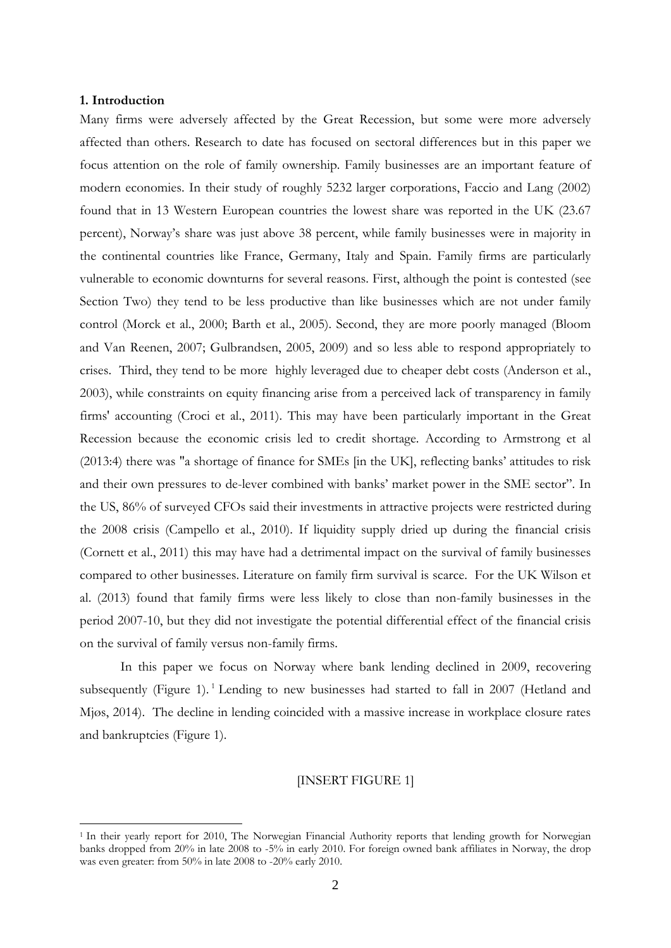#### **1. Introduction**

1

Many firms were adversely affected by the Great Recession, but some were more adversely affected than others. Research to date has focused on sectoral differences but in this paper we focus attention on the role of family ownership. Family businesses are an important feature of modern economies. In their study of roughly 5232 larger corporations, Faccio and Lang (2002) found that in 13 Western European countries the lowest share was reported in the UK (23.67 percent), Norway's share was just above 38 percent, while family businesses were in majority in the continental countries like France, Germany, Italy and Spain. Family firms are particularly vulnerable to economic downturns for several reasons. First, although the point is contested (see Section Two) they tend to be less productive than like businesses which are not under family control (Morck et al., 2000; Barth et al., 2005). Second, they are more poorly managed (Bloom and Van Reenen, 2007; Gulbrandsen, 2005, 2009) and so less able to respond appropriately to crises. Third, they tend to be more highly leveraged due to cheaper debt costs (Anderson et al., 2003), while constraints on equity financing arise from a perceived lack of transparency in family firms' accounting (Croci et al., 2011). This may have been particularly important in the Great Recession because the economic crisis led to credit shortage. According to Armstrong et al (2013:4) there was "a shortage of finance for SMEs [in the UK], reflecting banks' attitudes to risk and their own pressures to de-lever combined with banks' market power in the SME sector". In the US, 86% of surveyed CFOs said their investments in attractive projects were restricted during the 2008 crisis (Campello et al., 2010). If liquidity supply dried up during the financial crisis (Cornett et al., 2011) this may have had a detrimental impact on the survival of family businesses compared to other businesses. Literature on family firm survival is scarce. For the UK Wilson et al. (2013) found that family firms were less likely to close than non-family businesses in the period 2007-10, but they did not investigate the potential differential effect of the financial crisis on the survival of family versus non-family firms.

In this paper we focus on Norway where bank lending declined in 2009, recovering subsequently (Figure 1).<sup>1</sup> Lending to new businesses had started to fall in 2007 (Hetland and Mjøs, 2014). The decline in lending coincided with a massive increase in workplace closure rates and bankruptcies (Figure 1).

#### [INSERT FIGURE 1]

<sup>&</sup>lt;sup>1</sup> In their yearly report for 2010, The Norwegian Financial Authority reports that lending growth for Norwegian banks dropped from 20% in late 2008 to -5% in early 2010. For foreign owned bank affiliates in Norway, the drop was even greater: from 50% in late 2008 to -20% early 2010.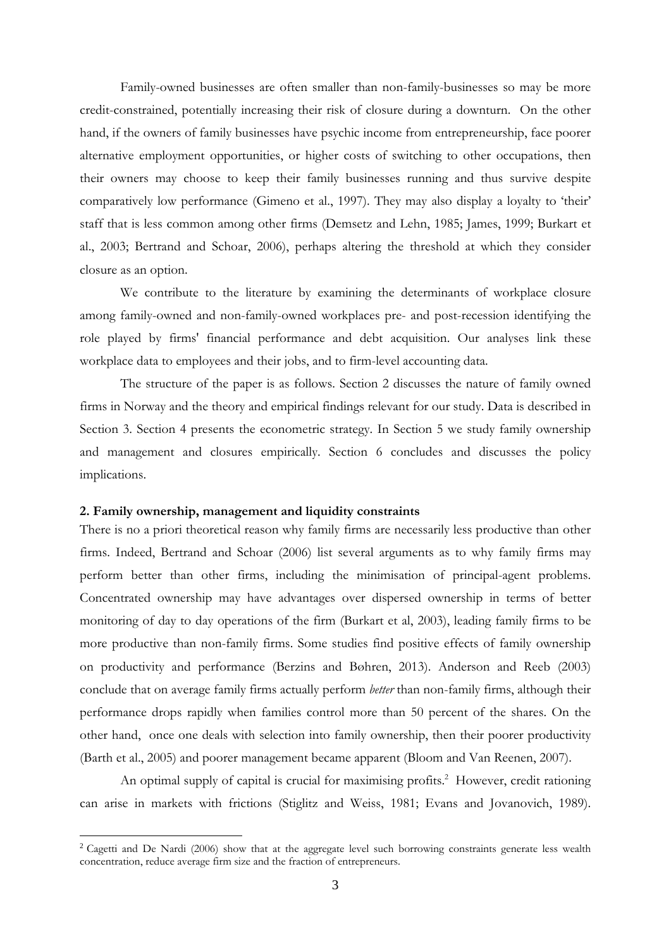Family-owned businesses are often smaller than non-family-businesses so may be more credit-constrained, potentially increasing their risk of closure during a downturn. On the other hand, if the owners of family businesses have psychic income from entrepreneurship, face poorer alternative employment opportunities, or higher costs of switching to other occupations, then their owners may choose to keep their family businesses running and thus survive despite comparatively low performance (Gimeno et al., 1997). They may also display a loyalty to 'their' staff that is less common among other firms (Demsetz and Lehn, 1985; James, 1999; Burkart et al., 2003; Bertrand and Schoar, 2006), perhaps altering the threshold at which they consider closure as an option.

We contribute to the literature by examining the determinants of workplace closure among family-owned and non-family-owned workplaces pre- and post-recession identifying the role played by firms' financial performance and debt acquisition. Our analyses link these workplace data to employees and their jobs, and to firm-level accounting data.

The structure of the paper is as follows. Section 2 discusses the nature of family owned firms in Norway and the theory and empirical findings relevant for our study. Data is described in Section 3. Section 4 presents the econometric strategy. In Section 5 we study family ownership and management and closures empirically. Section 6 concludes and discusses the policy implications.

#### **2. Family ownership, management and liquidity constraints**

1

There is no a priori theoretical reason why family firms are necessarily less productive than other firms. Indeed, Bertrand and Schoar (2006) list several arguments as to why family firms may perform better than other firms, including the minimisation of principal-agent problems. Concentrated ownership may have advantages over dispersed ownership in terms of better monitoring of day to day operations of the firm (Burkart et al, 2003), leading family firms to be more productive than non-family firms. Some studies find positive effects of family ownership on productivity and performance (Berzins and Bøhren, 2013). Anderson and Reeb (2003) conclude that on average family firms actually perform *better* than non-family firms, although their performance drops rapidly when families control more than 50 percent of the shares. On the other hand, once one deals with selection into family ownership, then their poorer productivity (Barth et al., 2005) and poorer management became apparent (Bloom and Van Reenen, 2007).

An optimal supply of capital is crucial for maximising profits.<sup>2</sup> However, credit rationing can arise in markets with frictions (Stiglitz and Weiss, 1981; Evans and Jovanovich, 1989).

<sup>&</sup>lt;sup>2</sup> Cagetti and De Nardi (2006) show that at the aggregate level such borrowing constraints generate less wealth concentration, reduce average firm size and the fraction of entrepreneurs.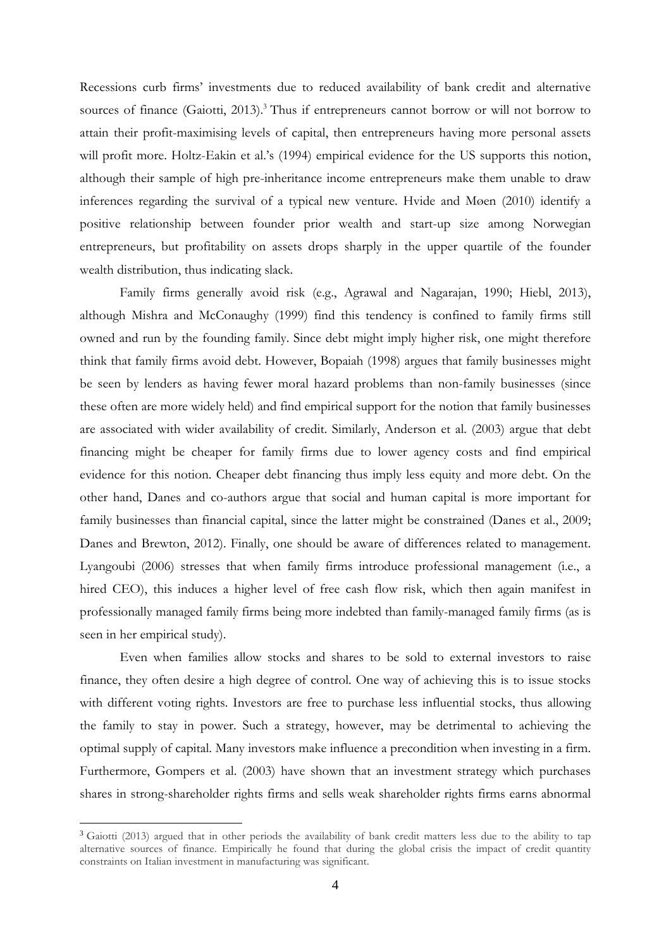Recessions curb firms' investments due to reduced availability of bank credit and alternative sources of finance (Gaiotti, 2013).<sup>3</sup> Thus if entrepreneurs cannot borrow or will not borrow to attain their profit-maximising levels of capital, then entrepreneurs having more personal assets will profit more. Holtz-Eakin et al.'s (1994) empirical evidence for the US supports this notion, although their sample of high pre-inheritance income entrepreneurs make them unable to draw inferences regarding the survival of a typical new venture. Hvide and Møen (2010) identify a positive relationship between founder prior wealth and start-up size among Norwegian entrepreneurs, but profitability on assets drops sharply in the upper quartile of the founder wealth distribution, thus indicating slack.

Family firms generally avoid risk (e.g., Agrawal and Nagarajan, 1990; Hiebl, 2013), although Mishra and McConaughy (1999) find this tendency is confined to family firms still owned and run by the founding family. Since debt might imply higher risk, one might therefore think that family firms avoid debt. However, Bopaiah (1998) argues that family businesses might be seen by lenders as having fewer moral hazard problems than non-family businesses (since these often are more widely held) and find empirical support for the notion that family businesses are associated with wider availability of credit. Similarly, Anderson et al. (2003) argue that debt financing might be cheaper for family firms due to lower agency costs and find empirical evidence for this notion. Cheaper debt financing thus imply less equity and more debt. On the other hand, Danes and co-authors argue that social and human capital is more important for family businesses than financial capital, since the latter might be constrained (Danes et al., 2009; Danes and Brewton, 2012). Finally, one should be aware of differences related to management. Lyangoubi (2006) stresses that when family firms introduce professional management (i.e., a hired CEO), this induces a higher level of free cash flow risk, which then again manifest in professionally managed family firms being more indebted than family-managed family firms (as is seen in her empirical study).

Even when families allow stocks and shares to be sold to external investors to raise finance, they often desire a high degree of control. One way of achieving this is to issue stocks with different voting rights. Investors are free to purchase less influential stocks, thus allowing the family to stay in power. Such a strategy, however, may be detrimental to achieving the optimal supply of capital. Many investors make influence a precondition when investing in a firm. Furthermore, Gompers et al. (2003) have shown that an investment strategy which purchases shares in strong-shareholder rights firms and sells weak shareholder rights firms earns abnormal

1

<sup>&</sup>lt;sup>3</sup> Gaiotti (2013) argued that in other periods the availability of bank credit matters less due to the ability to tap alternative sources of finance. Empirically he found that during the global crisis the impact of credit quantity constraints on Italian investment in manufacturing was significant.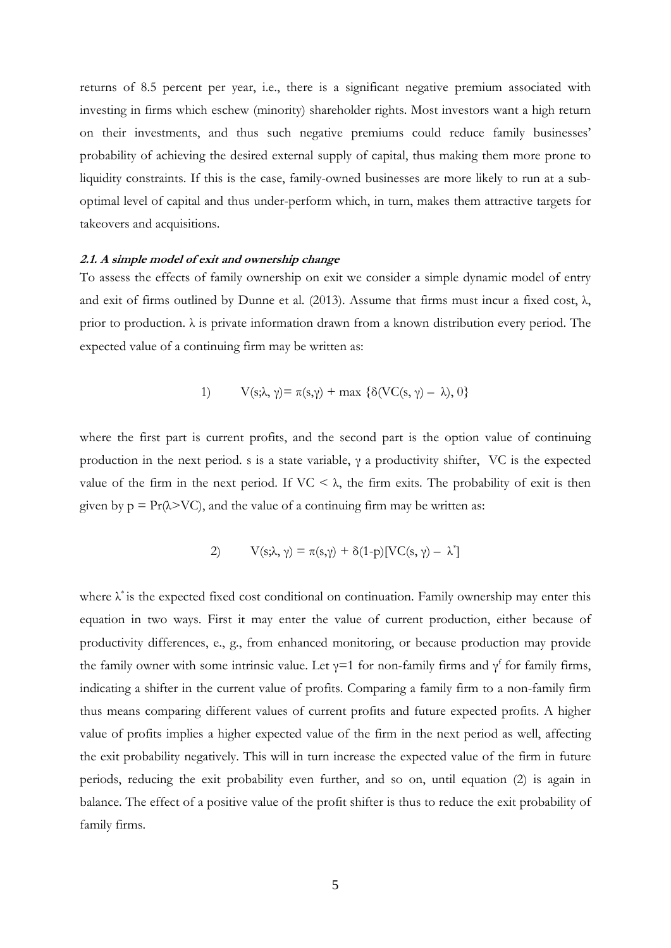returns of 8.5 percent per year, i.e., there is a significant negative premium associated with investing in firms which eschew (minority) shareholder rights. Most investors want a high return on their investments, and thus such negative premiums could reduce family businesses' probability of achieving the desired external supply of capital, thus making them more prone to liquidity constraints. If this is the case, family-owned businesses are more likely to run at a suboptimal level of capital and thus under-perform which, in turn, makes them attractive targets for takeovers and acquisitions.

#### **2.1. A simple model of exit and ownership change**

To assess the effects of family ownership on exit we consider a simple dynamic model of entry and exit of firms outlined by Dunne et al. (2013). Assume that firms must incur a fixed cost,  $\lambda$ , prior to production. λ is private information drawn from a known distribution every period. The expected value of a continuing firm may be written as:

1) 
$$
V(s; \lambda, \gamma) = \pi(s, \gamma) + \max \{\delta(VC(s, \gamma) - \lambda), 0\}
$$

where the first part is current profits, and the second part is the option value of continuing production in the next period. s is a state variable,  $\gamma$  a productivity shifter, VC is the expected value of the firm in the next period. If  $VC < \lambda$ , the firm exits. The probability of exit is then given by  $p = Pr(\lambda > VC)$ , and the value of a continuing firm may be written as:

2) 
$$
V(s;\lambda,\gamma) = \pi(s,\gamma) + \delta(1-p)[VC(s,\gamma) - \lambda^*]
$$

where  $\lambda^*$  is the expected fixed cost conditional on continuation. Family ownership may enter this equation in two ways. First it may enter the value of current production, either because of productivity differences, e., g., from enhanced monitoring, or because production may provide the family owner with some intrinsic value. Let  $\gamma=1$  for non-family firms and  $\gamma^{\rm f}$  for family firms, indicating a shifter in the current value of profits. Comparing a family firm to a non-family firm thus means comparing different values of current profits and future expected profits. A higher value of profits implies a higher expected value of the firm in the next period as well, affecting the exit probability negatively. This will in turn increase the expected value of the firm in future periods, reducing the exit probability even further, and so on, until equation (2) is again in balance. The effect of a positive value of the profit shifter is thus to reduce the exit probability of family firms.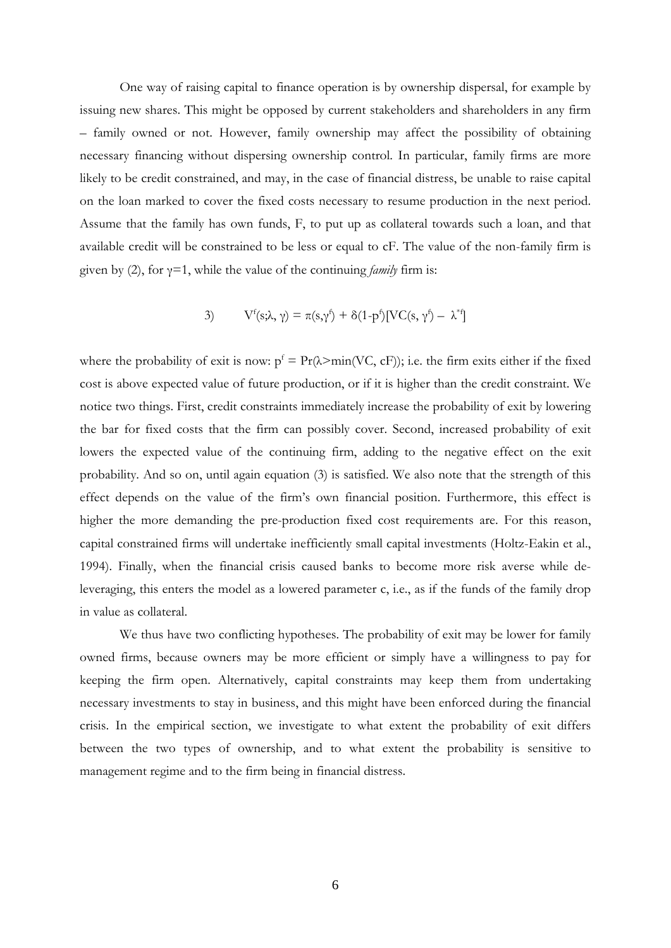One way of raising capital to finance operation is by ownership dispersal, for example by issuing new shares. This might be opposed by current stakeholders and shareholders in any firm – family owned or not. However, family ownership may affect the possibility of obtaining necessary financing without dispersing ownership control. In particular, family firms are more likely to be credit constrained, and may, in the case of financial distress, be unable to raise capital on the loan marked to cover the fixed costs necessary to resume production in the next period. Assume that the family has own funds, F, to put up as collateral towards such a loan, and that available credit will be constrained to be less or equal to cF. The value of the non-family firm is given by (2), for  $\gamma=1$ , while the value of the continuing *family* firm is:

3) 
$$
V^f(s;\lambda,\gamma) = \pi(s,\gamma^f) + \delta(1-p^f)[VC(s,\gamma^f) - \lambda^{*f}]
$$

where the probability of exit is now:  $p^f = Pr(\lambda > min(VC, cF))$ ; i.e. the firm exits either if the fixed cost is above expected value of future production, or if it is higher than the credit constraint. We notice two things. First, credit constraints immediately increase the probability of exit by lowering the bar for fixed costs that the firm can possibly cover. Second, increased probability of exit lowers the expected value of the continuing firm, adding to the negative effect on the exit probability. And so on, until again equation (3) is satisfied. We also note that the strength of this effect depends on the value of the firm's own financial position. Furthermore, this effect is higher the more demanding the pre-production fixed cost requirements are. For this reason, capital constrained firms will undertake inefficiently small capital investments (Holtz-Eakin et al., 1994). Finally, when the financial crisis caused banks to become more risk averse while deleveraging, this enters the model as a lowered parameter c, i.e., as if the funds of the family drop in value as collateral.

We thus have two conflicting hypotheses. The probability of exit may be lower for family owned firms, because owners may be more efficient or simply have a willingness to pay for keeping the firm open. Alternatively, capital constraints may keep them from undertaking necessary investments to stay in business, and this might have been enforced during the financial crisis. In the empirical section, we investigate to what extent the probability of exit differs between the two types of ownership, and to what extent the probability is sensitive to management regime and to the firm being in financial distress.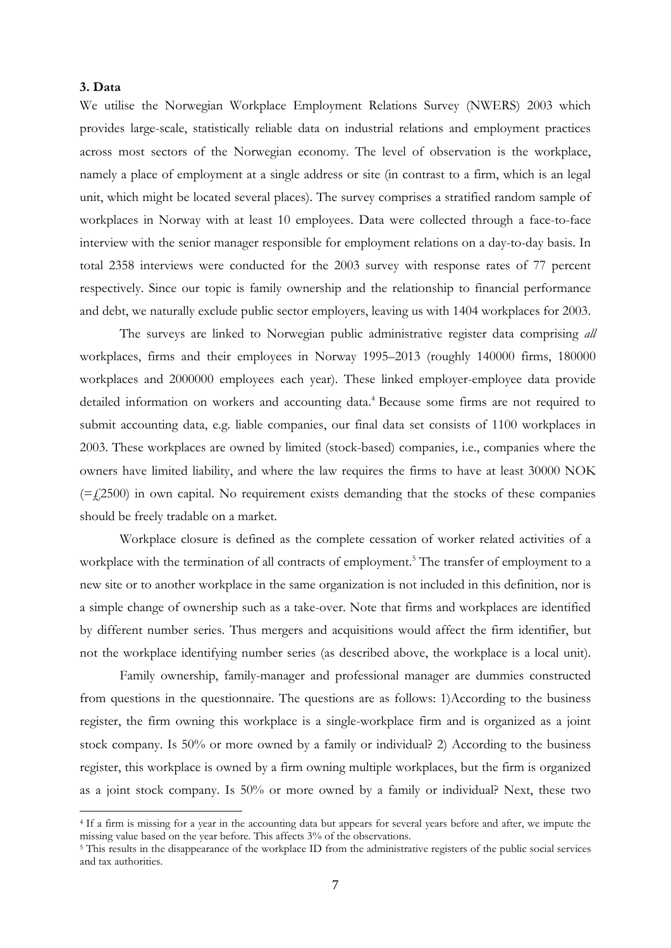#### **3. Data**

1

We utilise the Norwegian Workplace Employment Relations Survey (NWERS) 2003 which provides large-scale, statistically reliable data on industrial relations and employment practices across most sectors of the Norwegian economy. The level of observation is the workplace, namely a place of employment at a single address or site (in contrast to a firm, which is an legal unit, which might be located several places). The survey comprises a stratified random sample of workplaces in Norway with at least 10 employees. Data were collected through a face-to-face interview with the senior manager responsible for employment relations on a day-to-day basis. In total 2358 interviews were conducted for the 2003 survey with response rates of 77 percent respectively. Since our topic is family ownership and the relationship to financial performance and debt, we naturally exclude public sector employers, leaving us with 1404 workplaces for 2003.

The surveys are linked to Norwegian public administrative register data comprising *all* workplaces, firms and their employees in Norway 1995–2013 (roughly 140000 firms, 180000 workplaces and 2000000 employees each year). These linked employer-employee data provide detailed information on workers and accounting data.<sup>4</sup> Because some firms are not required to submit accounting data, e.g. liable companies, our final data set consists of 1100 workplaces in 2003. These workplaces are owned by limited (stock-based) companies, i.e., companies where the owners have limited liability, and where the law requires the firms to have at least 30000 NOK  $(=$  ( $\pm$ 2500) in own capital. No requirement exists demanding that the stocks of these companies should be freely tradable on a market.

 Workplace closure is defined as the complete cessation of worker related activities of a workplace with the termination of all contracts of employment.<sup>5</sup> The transfer of employment to a new site or to another workplace in the same organization is not included in this definition, nor is a simple change of ownership such as a take-over. Note that firms and workplaces are identified by different number series. Thus mergers and acquisitions would affect the firm identifier, but not the workplace identifying number series (as described above, the workplace is a local unit).

 Family ownership, family-manager and professional manager are dummies constructed from questions in the questionnaire. The questions are as follows: 1)According to the business register, the firm owning this workplace is a single-workplace firm and is organized as a joint stock company. Is 50% or more owned by a family or individual? 2) According to the business register, this workplace is owned by a firm owning multiple workplaces, but the firm is organized as a joint stock company. Is 50% or more owned by a family or individual? Next, these two

<sup>4</sup> If a firm is missing for a year in the accounting data but appears for several years before and after, we impute the missing value based on the year before. This affects 3% of the observations. 5 This results in the disappearance of the workplace ID from the administrative registers of the public social services

and tax authorities.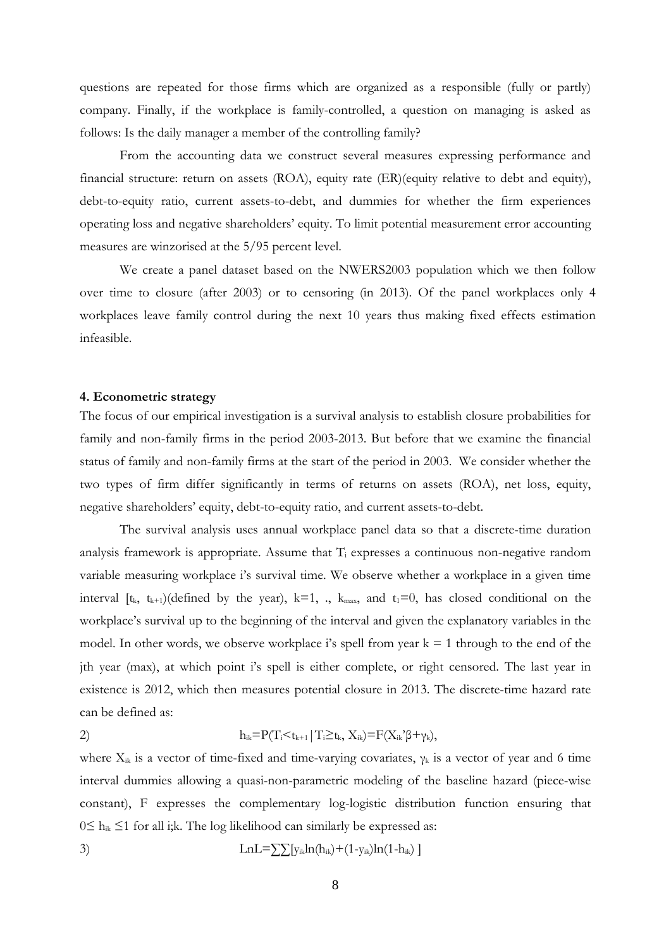questions are repeated for those firms which are organized as a responsible (fully or partly) company. Finally, if the workplace is family-controlled, a question on managing is asked as follows: Is the daily manager a member of the controlling family?

 From the accounting data we construct several measures expressing performance and financial structure: return on assets (ROA), equity rate (ER)(equity relative to debt and equity), debt-to-equity ratio, current assets-to-debt, and dummies for whether the firm experiences operating loss and negative shareholders' equity. To limit potential measurement error accounting measures are winzorised at the 5/95 percent level.

We create a panel dataset based on the NWERS2003 population which we then follow over time to closure (after 2003) or to censoring (in 2013). Of the panel workplaces only 4 workplaces leave family control during the next 10 years thus making fixed effects estimation infeasible.

#### **4. Econometric strategy**

The focus of our empirical investigation is a survival analysis to establish closure probabilities for family and non-family firms in the period 2003-2013. But before that we examine the financial status of family and non-family firms at the start of the period in 2003. We consider whether the two types of firm differ significantly in terms of returns on assets (ROA), net loss, equity, negative shareholders' equity, debt-to-equity ratio, and current assets-to-debt.

 The survival analysis uses annual workplace panel data so that a discrete-time duration analysis framework is appropriate. Assume that  $T_i$  expresses a continuous non-negative random variable measuring workplace i's survival time. We observe whether a workplace in a given time interval  $[t_k, t_{k+1})$  (defined by the year),  $k=1, \ldots, k_{max}$ , and  $t_1=0,$  has closed conditional on the workplace's survival up to the beginning of the interval and given the explanatory variables in the model. In other words, we observe workplace i's spell from year  $k = 1$  through to the end of the jth year (max), at which point i's spell is either complete, or right censored. The last year in existence is 2012, which then measures potential closure in 2013. The discrete-time hazard rate can be defined as:

$$
h_{ik} = P(T_i \leq t_{k+1} | T_i \geq t_k, X_{ik}) = F(X_{ik} \cdot \beta + \gamma_k),
$$

where  $X_{ik}$  is a vector of time-fixed and time-varying covariates,  $\gamma_k$  is a vector of year and 6 time interval dummies allowing a quasi-non-parametric modeling of the baseline hazard (piece-wise constant), F expresses the complementary log-logistic distribution function ensuring that  $0 \le h_{ik} \le 1$  for all i;k. The log likelihood can similarly be expressed as:

3) 
$$
LnL = \sum [y_{ik}ln(h_{ik}) + (1-y_{ik})ln(1-h_{ik})]
$$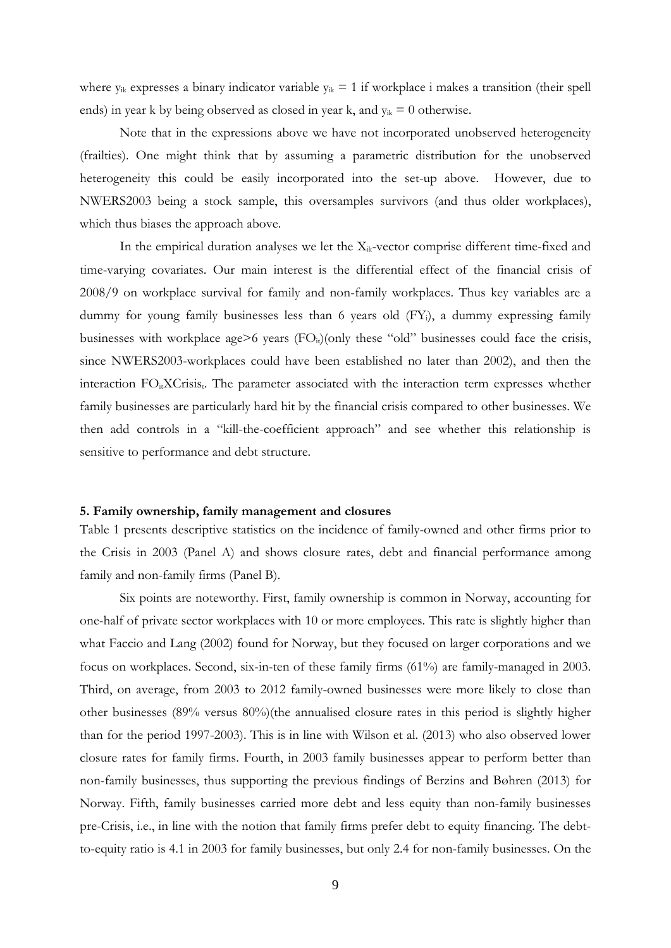where  $y_{ik}$  expresses a binary indicator variable  $y_{ik} = 1$  if workplace i makes a transition (their spell ends) in year k by being observed as closed in year k, and  $y_{ik} = 0$  otherwise.

Note that in the expressions above we have not incorporated unobserved heterogeneity (frailties). One might think that by assuming a parametric distribution for the unobserved heterogeneity this could be easily incorporated into the set-up above. However, due to NWERS2003 being a stock sample, this oversamples survivors (and thus older workplaces), which thus biases the approach above.

In the empirical duration analyses we let the  $X_{ik}$ -vector comprise different time-fixed and time-varying covariates. Our main interest is the differential effect of the financial crisis of 2008/9 on workplace survival for family and non-family workplaces. Thus key variables are a dummy for young family businesses less than 6 years old (FY;), a dummy expressing family businesses with workplace age>6 years  $(FO<sub>it</sub>)(only these "old" businesses could face the crisis,$ since NWERS2003-workplaces could have been established no later than 2002), and then the interaction FO<sub>it</sub>XCrisis<sub>t</sub>. The parameter associated with the interaction term expresses whether family businesses are particularly hard hit by the financial crisis compared to other businesses. We then add controls in a "kill-the-coefficient approach" and see whether this relationship is sensitive to performance and debt structure.

#### **5. Family ownership, family management and closures**

Table 1 presents descriptive statistics on the incidence of family-owned and other firms prior to the Crisis in 2003 (Panel A) and shows closure rates, debt and financial performance among family and non-family firms (Panel B).

Six points are noteworthy. First, family ownership is common in Norway, accounting for one-half of private sector workplaces with 10 or more employees. This rate is slightly higher than what Faccio and Lang (2002) found for Norway, but they focused on larger corporations and we focus on workplaces. Second, six-in-ten of these family firms (61%) are family-managed in 2003. Third, on average, from 2003 to 2012 family-owned businesses were more likely to close than other businesses (89% versus 80%)(the annualised closure rates in this period is slightly higher than for the period 1997-2003). This is in line with Wilson et al. (2013) who also observed lower closure rates for family firms. Fourth, in 2003 family businesses appear to perform better than non-family businesses, thus supporting the previous findings of Berzins and Bøhren (2013) for Norway. Fifth, family businesses carried more debt and less equity than non-family businesses pre-Crisis, i.e., in line with the notion that family firms prefer debt to equity financing. The debtto-equity ratio is 4.1 in 2003 for family businesses, but only 2.4 for non-family businesses. On the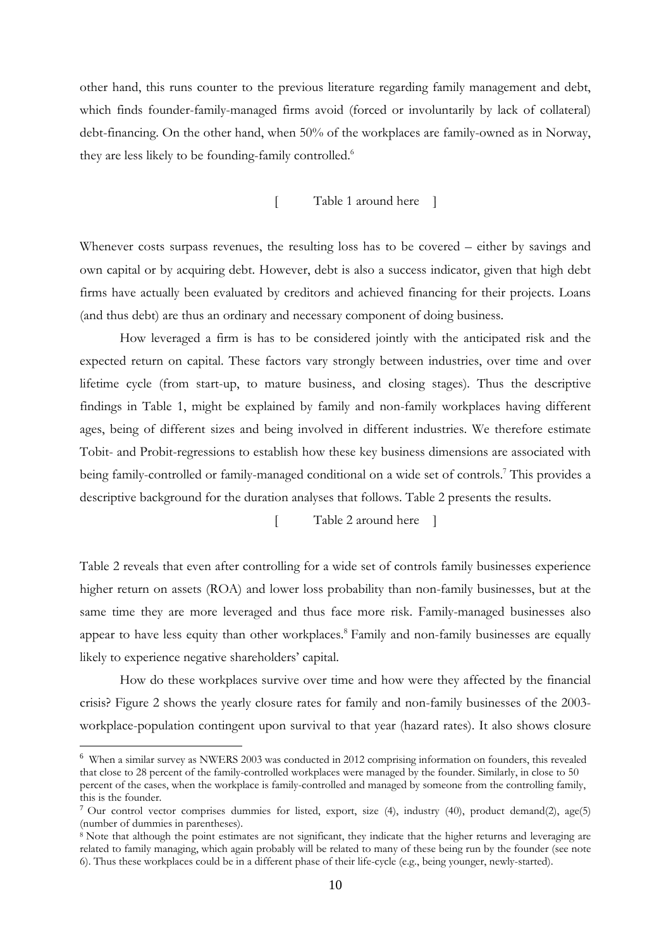other hand, this runs counter to the previous literature regarding family management and debt, which finds founder-family-managed firms avoid (forced or involuntarily by lack of collateral) debt-financing. On the other hand, when 50% of the workplaces are family-owned as in Norway, they are less likely to be founding-family controlled.<sup>6</sup>

[ Table 1 around here ]

Whenever costs surpass revenues, the resulting loss has to be covered – either by savings and own capital or by acquiring debt. However, debt is also a success indicator, given that high debt firms have actually been evaluated by creditors and achieved financing for their projects. Loans (and thus debt) are thus an ordinary and necessary component of doing business.

How leveraged a firm is has to be considered jointly with the anticipated risk and the expected return on capital. These factors vary strongly between industries, over time and over lifetime cycle (from start-up, to mature business, and closing stages). Thus the descriptive findings in Table 1, might be explained by family and non-family workplaces having different ages, being of different sizes and being involved in different industries. We therefore estimate Tobit- and Probit-regressions to establish how these key business dimensions are associated with being family-controlled or family-managed conditional on a wide set of controls.<sup>7</sup> This provides a descriptive background for the duration analyses that follows. Table 2 presents the results.

[ Table 2 around here ]

Table 2 reveals that even after controlling for a wide set of controls family businesses experience higher return on assets (ROA) and lower loss probability than non-family businesses, but at the same time they are more leveraged and thus face more risk. Family-managed businesses also appear to have less equity than other workplaces.<sup>8</sup> Family and non-family businesses are equally likely to experience negative shareholders' capital.

How do these workplaces survive over time and how were they affected by the financial crisis? Figure 2 shows the yearly closure rates for family and non-family businesses of the 2003 workplace-population contingent upon survival to that year (hazard rates). It also shows closure

1

<sup>&</sup>lt;sup>6</sup> When a similar survey as NWERS 2003 was conducted in 2012 comprising information on founders, this revealed that close to 28 percent of the family-controlled workplaces were managed by the founder. Similarly, in close to 50 percent of the cases, when the workplace is family-controlled and managed by someone from the controlling family, this is the founder.

<sup>&</sup>lt;sup>7</sup> Our control vector comprises dummies for listed, export, size (4), industry (40), product demand(2), age(5) (number of dummies in parentheses).

<sup>&</sup>lt;sup>8</sup> Note that although the point estimates are not significant, they indicate that the higher returns and leveraging are related to family managing, which again probably will be related to many of these being run by the founder (see note 6). Thus these workplaces could be in a different phase of their life-cycle (e.g., being younger, newly-started).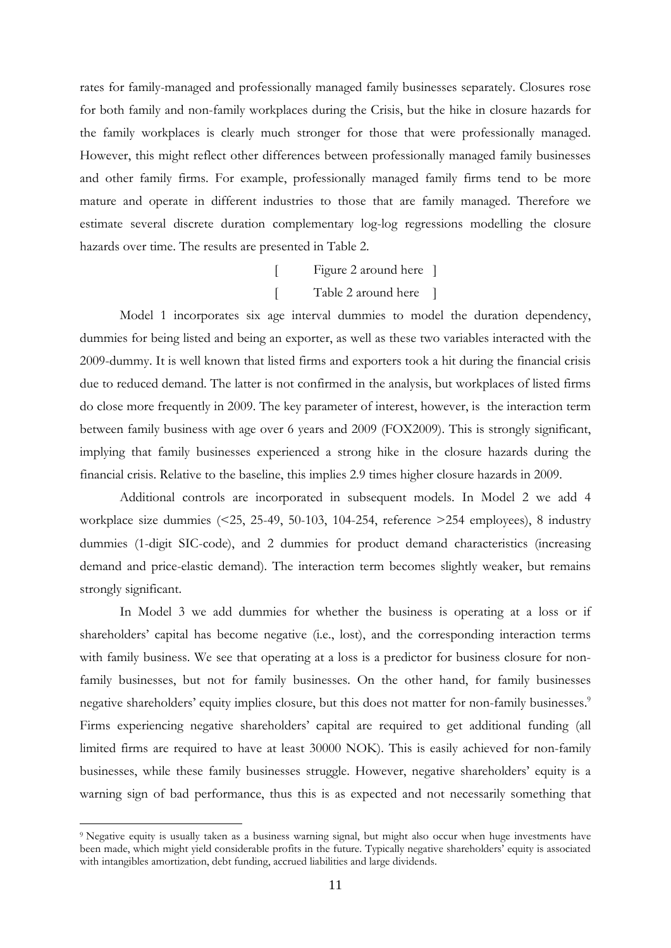rates for family-managed and professionally managed family businesses separately. Closures rose for both family and non-family workplaces during the Crisis, but the hike in closure hazards for the family workplaces is clearly much stronger for those that were professionally managed. However, this might reflect other differences between professionally managed family businesses and other family firms. For example, professionally managed family firms tend to be more mature and operate in different industries to those that are family managed. Therefore we estimate several discrete duration complementary log-log regressions modelling the closure hazards over time. The results are presented in Table 2.

> [ Figure 2 around here ] [ Table 2 around here ]

 Model 1 incorporates six age interval dummies to model the duration dependency, dummies for being listed and being an exporter, as well as these two variables interacted with the 2009-dummy. It is well known that listed firms and exporters took a hit during the financial crisis due to reduced demand. The latter is not confirmed in the analysis, but workplaces of listed firms do close more frequently in 2009. The key parameter of interest, however, is the interaction term between family business with age over 6 years and 2009 (FOX2009). This is strongly significant, implying that family businesses experienced a strong hike in the closure hazards during the financial crisis. Relative to the baseline, this implies 2.9 times higher closure hazards in 2009.

 Additional controls are incorporated in subsequent models. In Model 2 we add 4 workplace size dummies (<25, 25-49, 50-103, 104-254, reference >254 employees), 8 industry dummies (1-digit SIC-code), and 2 dummies for product demand characteristics (increasing demand and price-elastic demand). The interaction term becomes slightly weaker, but remains strongly significant.

 In Model 3 we add dummies for whether the business is operating at a loss or if shareholders' capital has become negative (i.e., lost), and the corresponding interaction terms with family business. We see that operating at a loss is a predictor for business closure for nonfamily businesses, but not for family businesses. On the other hand, for family businesses negative shareholders' equity implies closure, but this does not matter for non-family businesses.<sup>9</sup> Firms experiencing negative shareholders' capital are required to get additional funding (all limited firms are required to have at least 30000 NOK). This is easily achieved for non-family businesses, while these family businesses struggle. However, negative shareholders' equity is a warning sign of bad performance, thus this is as expected and not necessarily something that

1

<sup>&</sup>lt;sup>9</sup> Negative equity is usually taken as a business warning signal, but might also occur when huge investments have been made, which might yield considerable profits in the future. Typically negative shareholders' equity is associated with intangibles amortization, debt funding, accrued liabilities and large dividends.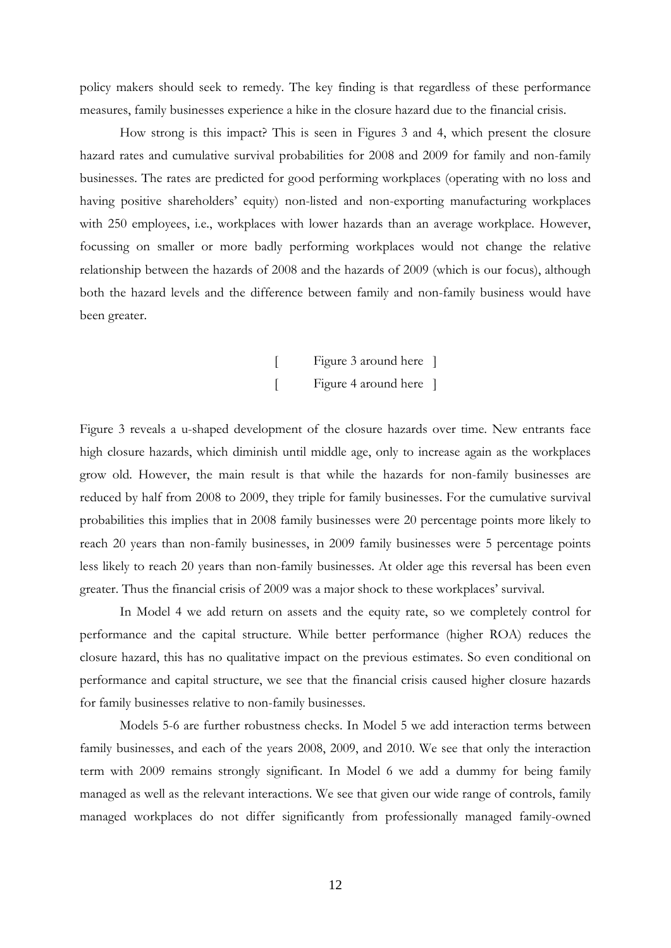policy makers should seek to remedy. The key finding is that regardless of these performance measures, family businesses experience a hike in the closure hazard due to the financial crisis.

How strong is this impact? This is seen in Figures 3 and 4, which present the closure hazard rates and cumulative survival probabilities for 2008 and 2009 for family and non-family businesses. The rates are predicted for good performing workplaces (operating with no loss and having positive shareholders' equity) non-listed and non-exporting manufacturing workplaces with 250 employees, i.e., workplaces with lower hazards than an average workplace. However, focussing on smaller or more badly performing workplaces would not change the relative relationship between the hazards of 2008 and the hazards of 2009 (which is our focus), although both the hazard levels and the difference between family and non-family business would have been greater.

[ Figure 3 around here ] [ Figure 4 around here ]

Figure 3 reveals a u-shaped development of the closure hazards over time. New entrants face high closure hazards, which diminish until middle age, only to increase again as the workplaces grow old. However, the main result is that while the hazards for non-family businesses are reduced by half from 2008 to 2009, they triple for family businesses. For the cumulative survival probabilities this implies that in 2008 family businesses were 20 percentage points more likely to reach 20 years than non-family businesses, in 2009 family businesses were 5 percentage points less likely to reach 20 years than non-family businesses. At older age this reversal has been even greater. Thus the financial crisis of 2009 was a major shock to these workplaces' survival.

In Model 4 we add return on assets and the equity rate, so we completely control for performance and the capital structure. While better performance (higher ROA) reduces the closure hazard, this has no qualitative impact on the previous estimates. So even conditional on performance and capital structure, we see that the financial crisis caused higher closure hazards for family businesses relative to non-family businesses.

 Models 5-6 are further robustness checks. In Model 5 we add interaction terms between family businesses, and each of the years 2008, 2009, and 2010. We see that only the interaction term with 2009 remains strongly significant. In Model 6 we add a dummy for being family managed as well as the relevant interactions. We see that given our wide range of controls, family managed workplaces do not differ significantly from professionally managed family-owned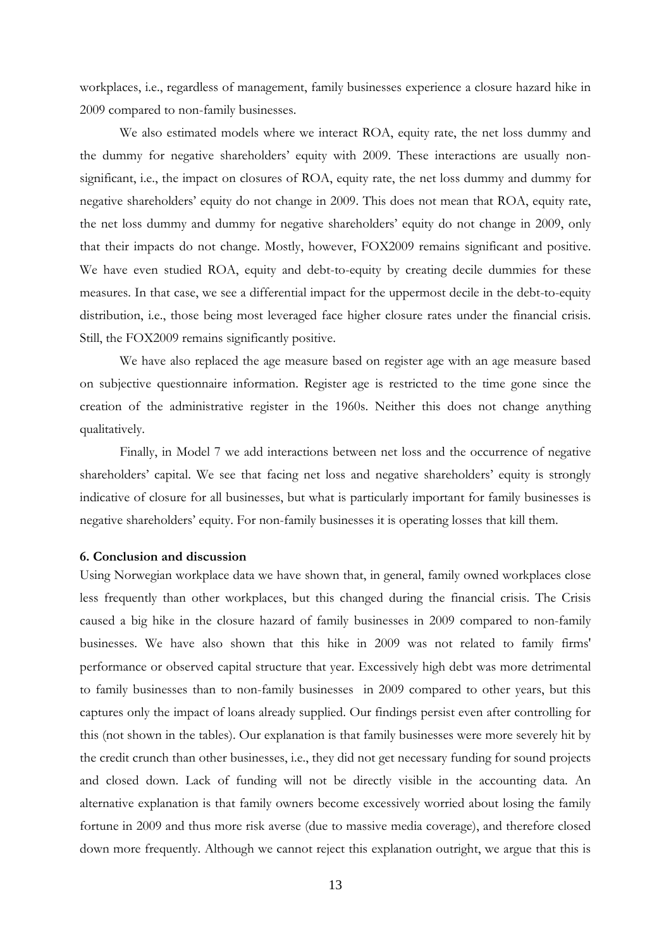workplaces, i.e., regardless of management, family businesses experience a closure hazard hike in 2009 compared to non-family businesses.

We also estimated models where we interact ROA, equity rate, the net loss dummy and the dummy for negative shareholders' equity with 2009. These interactions are usually nonsignificant, i.e., the impact on closures of ROA, equity rate, the net loss dummy and dummy for negative shareholders' equity do not change in 2009. This does not mean that ROA, equity rate, the net loss dummy and dummy for negative shareholders' equity do not change in 2009, only that their impacts do not change. Mostly, however, FOX2009 remains significant and positive. We have even studied ROA, equity and debt-to-equity by creating decile dummies for these measures. In that case, we see a differential impact for the uppermost decile in the debt-to-equity distribution, i.e., those being most leveraged face higher closure rates under the financial crisis. Still, the FOX2009 remains significantly positive.

We have also replaced the age measure based on register age with an age measure based on subjective questionnaire information. Register age is restricted to the time gone since the creation of the administrative register in the 1960s. Neither this does not change anything qualitatively.

 Finally, in Model 7 we add interactions between net loss and the occurrence of negative shareholders' capital. We see that facing net loss and negative shareholders' equity is strongly indicative of closure for all businesses, but what is particularly important for family businesses is negative shareholders' equity. For non-family businesses it is operating losses that kill them.

#### **6. Conclusion and discussion**

Using Norwegian workplace data we have shown that, in general, family owned workplaces close less frequently than other workplaces, but this changed during the financial crisis. The Crisis caused a big hike in the closure hazard of family businesses in 2009 compared to non-family businesses. We have also shown that this hike in 2009 was not related to family firms' performance or observed capital structure that year. Excessively high debt was more detrimental to family businesses than to non-family businesses in 2009 compared to other years, but this captures only the impact of loans already supplied. Our findings persist even after controlling for this (not shown in the tables). Our explanation is that family businesses were more severely hit by the credit crunch than other businesses, i.e., they did not get necessary funding for sound projects and closed down. Lack of funding will not be directly visible in the accounting data. An alternative explanation is that family owners become excessively worried about losing the family fortune in 2009 and thus more risk averse (due to massive media coverage), and therefore closed down more frequently. Although we cannot reject this explanation outright, we argue that this is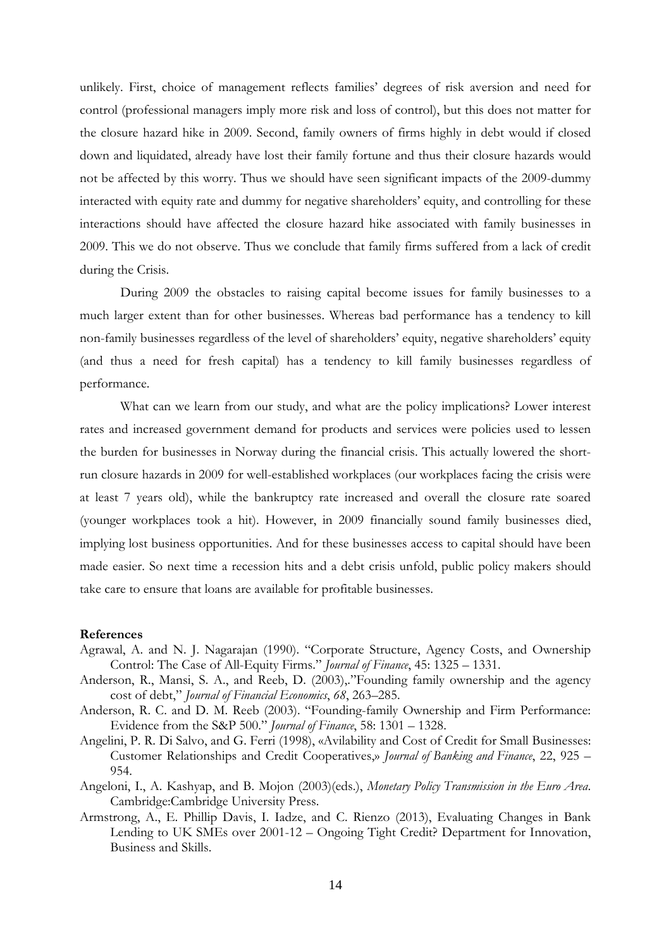unlikely. First, choice of management reflects families' degrees of risk aversion and need for control (professional managers imply more risk and loss of control), but this does not matter for the closure hazard hike in 2009. Second, family owners of firms highly in debt would if closed down and liquidated, already have lost their family fortune and thus their closure hazards would not be affected by this worry. Thus we should have seen significant impacts of the 2009-dummy interacted with equity rate and dummy for negative shareholders' equity, and controlling for these interactions should have affected the closure hazard hike associated with family businesses in 2009. This we do not observe. Thus we conclude that family firms suffered from a lack of credit during the Crisis.

During 2009 the obstacles to raising capital become issues for family businesses to a much larger extent than for other businesses. Whereas bad performance has a tendency to kill non-family businesses regardless of the level of shareholders' equity, negative shareholders' equity (and thus a need for fresh capital) has a tendency to kill family businesses regardless of performance.

What can we learn from our study, and what are the policy implications? Lower interest rates and increased government demand for products and services were policies used to lessen the burden for businesses in Norway during the financial crisis. This actually lowered the shortrun closure hazards in 2009 for well-established workplaces (our workplaces facing the crisis were at least 7 years old), while the bankruptcy rate increased and overall the closure rate soared (younger workplaces took a hit). However, in 2009 financially sound family businesses died, implying lost business opportunities. And for these businesses access to capital should have been made easier. So next time a recession hits and a debt crisis unfold, public policy makers should take care to ensure that loans are available for profitable businesses.

#### **References**

- Agrawal, A. and N. J. Nagarajan (1990). "Corporate Structure, Agency Costs, and Ownership Control: The Case of All-Equity Firms." *Journal of Finance*, 45: 1325 – 1331.
- Anderson, R., Mansi, S. A., and Reeb, D. (2003),."Founding family ownership and the agency cost of debt," *Journal of Financial Economics*, *68*, 263–285.
- Anderson, R. C. and D. M. Reeb (2003). "Founding-family Ownership and Firm Performance: Evidence from the S&P 500." *Journal of Finance*, 58: 1301 – 1328.
- Angelini, P. R. Di Salvo, and G. Ferri (1998), «Avilability and Cost of Credit for Small Businesses: Customer Relationships and Credit Cooperatives,» *Journal of Banking and Finance*, 22, 925 – 954.
- Angeloni, I., A. Kashyap, and B. Mojon (2003)(eds.), *Monetary Policy Transmission in the Euro Area*. Cambridge:Cambridge University Press.
- Armstrong, A., E. Phillip Davis, I. Iadze, and C. Rienzo (2013), Evaluating Changes in Bank Lending to UK SMEs over 2001-12 – Ongoing Tight Credit? Department for Innovation, Business and Skills.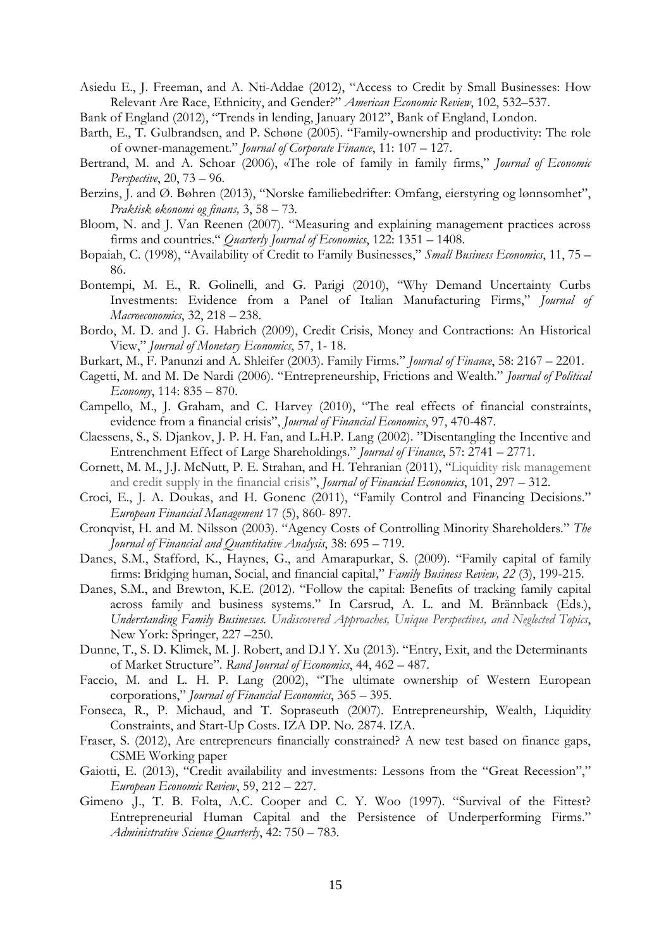Asiedu E., J. Freeman, and A. Nti-Addae (2012), "Access to Credit by Small Businesses: How Relevant Are Race, Ethnicity, and Gender?" *American Economic Review*, 102, 532–537.

Bank of England (2012), "Trends in lending, January 2012", Bank of England, London.

- Barth, E., T. Gulbrandsen, and P. Schøne (2005). "Family-ownership and productivity: The role of owner-management." *Journal of Corporate Finance*, 11: 107 – 127.
- Bertrand, M. and A. Schoar (2006), «The role of family in family firms," *Journal of Economic Perspective*, 20, 73 – 96.
- Berzins, J. and Ø. Bøhren (2013), "Norske familiebedrifter: Omfang, eierstyring og lønnsomhet", *Praktisk økonomi og finans,* 3, 58 – 73*.*
- Bloom, N. and J. Van Reenen (2007). "Measuring and explaining management practices across firms and countries." *Quarterly Journal of Economics*, 122: 1351 – 1408.
- Bopaiah, C. (1998), "Availability of Credit to Family Businesses," *Small Business Economics*, 11, 75 86.
- Bontempi, M. E., R. Golinelli, and G. Parigi (2010), "Why Demand Uncertainty Curbs Investments: Evidence from a Panel of Italian Manufacturing Firms," *Journal of Macroeconomics*, 32, 218 – 238.
- Bordo, M. D. and J. G. Habrich (2009), Credit Crisis, Money and Contractions: An Historical View," *Journal of Monetary Economics*, 57, 1- 18.
- Burkart, M., F. Panunzi and A. Shleifer (2003). Family Firms." *Journal of Finance*, 58: 2167 2201.
- Cagetti, M. and M. De Nardi (2006). "Entrepreneurship, Frictions and Wealth." *Journal of Political Economy*, 114: 835 – 870.
- Campello, M., J. Graham, and C. Harvey (2010), "The real effects of financial constraints, evidence from a financial crisis", *Journal of Financial Economics*, 97, 470-487.
- Claessens, S., S. Djankov, J. P. H. Fan, and L.H.P. Lang (2002). "Disentangling the Incentive and Entrenchment Effect of Large Shareholdings." *Journal of Finance*, 57: 2741 – 2771.
- Cornett, M. M., J.J. McNutt, P. E. Strahan, and H. Tehranian (2011), "Liquidity risk management and credit supply in the financial crisis", *Journal of Financial Economics*, 101, 297 – 312.
- Croci, E., J. A. Doukas, and H. Gonenc (2011), "Family Control and Financing Decisions." *European Financial Management* 17 (5), 860- 897.
- Cronqvist, H. and M. Nilsson (2003). "Agency Costs of Controlling Minority Shareholders." *The Journal of Financial and Quantitative Analysis*, 38: 695 – 719.
- Danes, S.M., Stafford, K., Haynes, G., and Amarapurkar, S. (2009). "Family capital of family firms: Bridging human, Social, and financial capital," *Family Business Review, 22* (3), 199-215.
- Danes, S.M., and Brewton, K.E. (2012). "Follow the capital: Benefits of tracking family capital across family and business systems." In Carsrud, A. L. and M. Brännback (Eds.), *Understanding Family Businesses. Undiscovered Approaches, Unique Perspectives, and Neglected Topics*, New York: Springer, 227 –250.
- Dunne, T., S. D. Klimek, M. J. Robert, and D.l Y. Xu (2013). "Entry, Exit, and the Determinants of Market Structure". *Rand Journal of Economics*, 44, 462 – 487.
- Faccio, M. and L. H. P. Lang (2002), "The ultimate ownership of Western European corporations," *Journal of Financial Economics*, 365 – 395.
- Fonseca, R., P. Michaud, and T. Sopraseuth (2007). Entrepreneurship, Wealth, Liquidity Constraints, and Start-Up Costs. IZA DP. No. 2874. IZA.
- Fraser, S. (2012), Are entrepreneurs financially constrained? A new test based on finance gaps, CSME Working paper
- Gaiotti, E. (2013), "Credit availability and investments: Lessons from the "Great Recession"," *European Economic Review*, 59, 212 – 227.
- Gimeno ,J., T. B. Folta, A.C. Cooper and C. Y. Woo (1997). "Survival of the Fittest? Entrepreneurial Human Capital and the Persistence of Underperforming Firms." *Administrative Science Quarterly*, 42: 750 – 783.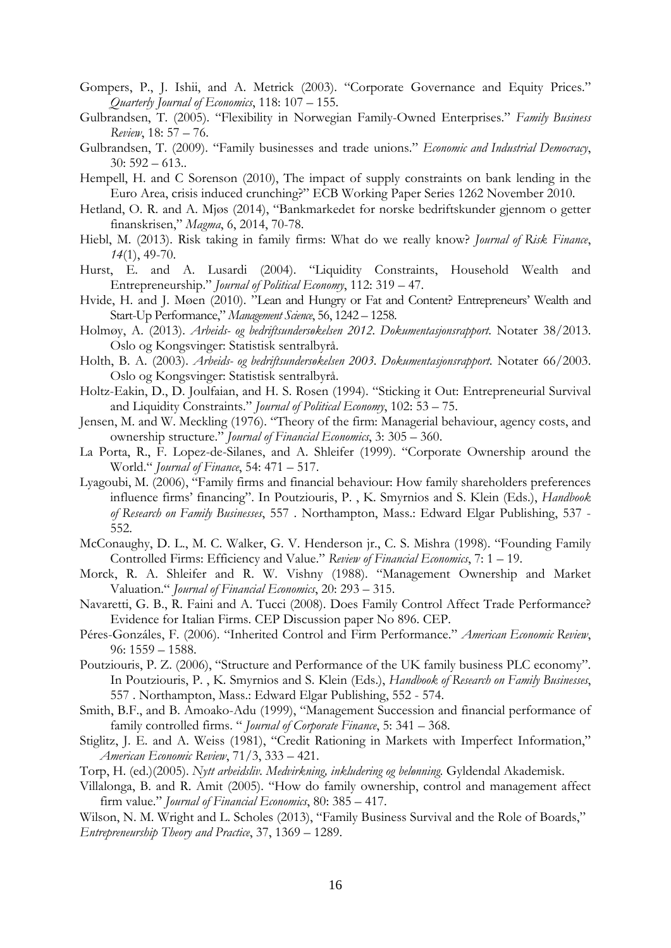- Gompers, P., J. Ishii, and A. Metrick (2003). "Corporate Governance and Equity Prices." *Quarterly Journal of Economics*, 118: 107 – 155.
- Gulbrandsen, T. (2005). "Flexibility in Norwegian Family-Owned Enterprises." *Family Business Review*, 18: 57 – 76.
- Gulbrandsen, T. (2009). "Family businesses and trade unions." *Economic and Industrial Democracy*, 30: 592 – 613..
- Hempell, H. and C Sorenson (2010), The impact of supply constraints on bank lending in the Euro Area, crisis induced crunching?" ECB Working Paper Series 1262 November 2010.
- Hetland, O. R. and A. Mjøs (2014), "Bankmarkedet for norske bedriftskunder gjennom o getter finanskrisen," *Magma*, 6, 2014, 70-78.
- Hiebl, M. (2013). Risk taking in family firms: What do we really know? *Journal of Risk Finance*, *14*(1), 49-70.
- Hurst, E. and A. Lusardi (2004). "Liquidity Constraints, Household Wealth and Entrepreneurship." *Journal of Political Economy*, 112: 319 – 47.
- Hvide, H. and J. Møen (2010). "Lean and Hungry or Fat and Content? Entrepreneurs' Wealth and Start-Up Performance," *Management Science*, 56, 1242 – 1258.
- Holmøy, A. (2013). *Arbeids- og bedriftsundersøkelsen 2012. Dokumentasjonsrapport*. Notater 38/2013. Oslo og Kongsvinger: Statistisk sentralbyrå.
- Holth, B. A. (2003). *Arbeids- og bedriftsundersøkelsen 2003. Dokumentasjonsrapport*. Notater 66/2003. Oslo og Kongsvinger: Statistisk sentralbyrå.
- Holtz-Eakin, D., D. Joulfaian, and H. S. Rosen (1994). "Sticking it Out: Entrepreneurial Survival and Liquidity Constraints." *Journal of Political Economy*, 102: 53 – 75.
- Jensen, M. and W. Meckling (1976). "Theory of the firm: Managerial behaviour, agency costs, and ownership structure." *Journal of Financial Economics*, 3: 305 – 360.
- La Porta, R., F. Lopez-de-Silanes, and A. Shleifer (1999). "Corporate Ownership around the World." *Journal of Finance*, 54: 471 – 517.
- Lyagoubi, M. (2006), "Family firms and financial behaviour: How family shareholders preferences influence firms' financing". In Poutziouris, P. , K. Smyrnios and S. Klein (Eds.), *Handbook of Research on Family Businesses*, 557 . Northampton, Mass.: Edward Elgar Publishing, 537 - 552.
- McConaughy, D. L., M. C. Walker, G. V. Henderson jr., C. S. Mishra (1998). "Founding Family Controlled Firms: Efficiency and Value." *Review of Financial Economics*, 7: 1 – 19.
- Morck, R. A. Shleifer and R. W. Vishny (1988). "Management Ownership and Market Valuation." *Journal of Financial Economics*, 20: 293 – 315.
- Navaretti, G. B., R. Faini and A. Tucci (2008). Does Family Control Affect Trade Performance? Evidence for Italian Firms. CEP Discussion paper No 896. CEP.
- Péres-Gonzáles, F. (2006). "Inherited Control and Firm Performance." *American Economic Review*, 96: 1559 – 1588.
- Poutziouris, P. Z. (2006), "Structure and Performance of the UK family business PLC economy". In Poutziouris, P. , K. Smyrnios and S. Klein (Eds.), *Handbook of Research on Family Businesses*, 557 . Northampton, Mass.: Edward Elgar Publishing, 552 - 574.
- Smith, B.F., and B. Amoako-Adu (1999), "Management Succession and financial performance of family controlled firms. " *Journal of Corporate Finance*, 5: 341 – 368.
- Stiglitz, J. E. and A. Weiss (1981), "Credit Rationing in Markets with Imperfect Information," *American Economic Review*, 71/3, 333 – 421.
- Torp, H. (ed.)(2005). *Nytt arbeidsliv. Medvirkning, inkludering og belønning.* Gyldendal Akademisk.
- Villalonga, B. and R. Amit (2005). "How do family ownership, control and management affect firm value." *Journal of Financial Economics*, 80: 385 – 417.
- Wilson, N. M. Wright and L. Scholes (2013), "Family Business Survival and the Role of Boards," *Entrepreneurship Theory and Practice*, 37, 1369 – 1289.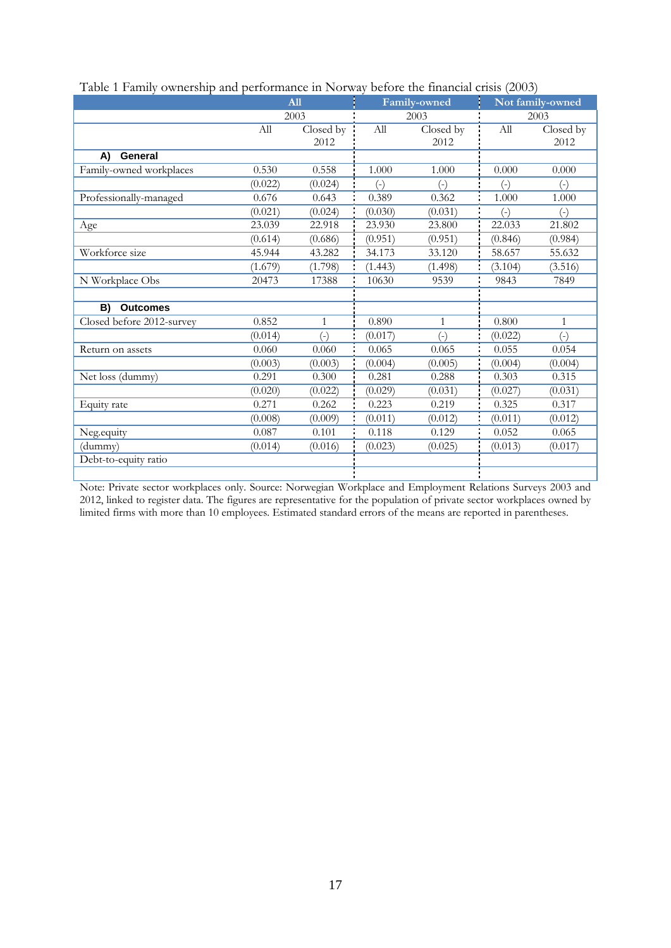|                           |         |              | <b>Faste 1 Family Ownership and performance in FOLWAY Service the imaginal ensistance</b> |              |         |                  |  |
|---------------------------|---------|--------------|-------------------------------------------------------------------------------------------|--------------|---------|------------------|--|
|                           |         | All          |                                                                                           | Family-owned |         | Not family-owned |  |
|                           |         | 2003         |                                                                                           | 2003         |         | 2003             |  |
|                           | All     | Closed by    |                                                                                           | Closed by    | All     | Closed by        |  |
|                           |         | 2012         |                                                                                           | 2012         |         | 2012             |  |
| General<br>A)             |         |              |                                                                                           |              |         |                  |  |
| Family-owned workplaces   | 0.530   | 0.558        | 1.000                                                                                     | 1.000        | 0.000   | 0.000            |  |
|                           | (0.022) | (0.024)      | $(\text{-})$                                                                              | $(\text{-})$ | $(-)$   | $(\text{-})$     |  |
| Professionally-managed    | 0.676   | 0.643        | 0.389                                                                                     | 0.362        | 1.000   | 1.000            |  |
|                           | (0.021) | (0.024)      | (0.030)                                                                                   | (0.031)      | $(-)$   | $(-)$            |  |
| Age                       | 23.039  | 22.918       | 23.930                                                                                    | 23.800       | 22.033  | 21.802           |  |
|                           | (0.614) | (0.686)      | (0.951)                                                                                   | (0.951)      | (0.846) | (0.984)          |  |
| Workforce size            | 45.944  | 43.282       | 34.173                                                                                    | 33.120       | 58.657  | 55.632           |  |
|                           | (1.679) | (1.798)      | (1.443)                                                                                   | (1.498)      | (3.104) | (3.516)          |  |
| N Workplace Obs<br>20473  |         | 17388        | 10630                                                                                     | 9539         | 9843    | 7849             |  |
|                           |         |              |                                                                                           |              |         |                  |  |
| B)<br><b>Outcomes</b>     |         |              |                                                                                           |              |         |                  |  |
| Closed before 2012-survey | 0.852   | $\mathbf{1}$ | 0.890                                                                                     | $\mathbf{1}$ | 0.800   | 1                |  |
|                           | (0.014) | $(\text{-})$ | (0.017)                                                                                   | $(-)$        | (0.022) | $(-)$            |  |
| Return on assets          | 0.060   | 0.060        | 0.065                                                                                     | 0.065        | 0.055   | 0.054            |  |
|                           | (0.003) | (0.003)      | (0.004)                                                                                   | (0.005)      | (0.004) | (0.004)          |  |
| Net loss (dummy)          | 0.291   | 0.300        | 0.281                                                                                     | 0.288        | 0.303   | 0.315            |  |
|                           | (0.020) | (0.022)      | (0.029)                                                                                   | (0.031)      | (0.027) | (0.031)          |  |
| Equity rate               | 0.271   | 0.262        | 0.223                                                                                     | 0.219        | 0.325   | 0.317            |  |
|                           | (0.008) | (0.009)      | (0.011)                                                                                   | (0.012)      | (0.011) | (0.012)          |  |
| Neg.equity                | 0.087   | 0.101        | 0.118                                                                                     | 0.129        | 0.052   | 0.065            |  |
| (dummy)                   | (0.014) | (0.016)      | (0.023)                                                                                   | (0.025)      | (0.013) | (0.017)          |  |
| Debt-to-equity ratio      |         |              |                                                                                           |              |         |                  |  |
|                           |         |              |                                                                                           |              |         |                  |  |

| Table 1 Family ownership and performance in Norway before the financial crisis (2003) |  |  |  |
|---------------------------------------------------------------------------------------|--|--|--|
|                                                                                       |  |  |  |

Note: Private sector workplaces only. Source: Norwegian Workplace and Employment Relations Surveys 2003 and 2012, linked to register data. The figures are representative for the population of private sector workplaces owned by limited firms with more than 10 employees. Estimated standard errors of the means are reported in parentheses.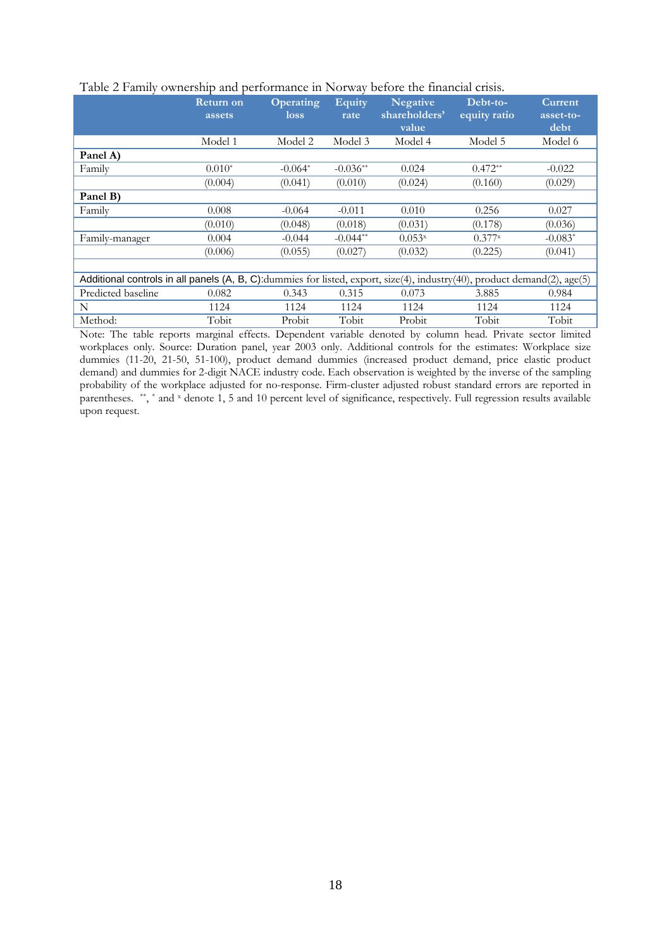|                                                                                                                          | <b>Return on</b><br>assets | <b>Operating</b><br>loss | <b>Equity</b><br>rate | <b>Negative</b><br>shareholders'<br>value | Debt-to-<br>equity ratio | <b>Current</b><br>asset-to-<br>debt |
|--------------------------------------------------------------------------------------------------------------------------|----------------------------|--------------------------|-----------------------|-------------------------------------------|--------------------------|-------------------------------------|
|                                                                                                                          | Model 1                    | Model 2                  | Model 3               | Model 4                                   | Model 5                  | Model 6                             |
| Panel A)                                                                                                                 |                            |                          |                       |                                           |                          |                                     |
| Family                                                                                                                   | $0.010*$                   | $-0.064*$                | $-0.036**$            | 0.024                                     | $0.472**$                | $-0.022$                            |
|                                                                                                                          | (0.004)                    | (0.041)                  | (0.010)               | (0.024)                                   | (0.160)                  | (0.029)                             |
| Panel B)                                                                                                                 |                            |                          |                       |                                           |                          |                                     |
| Family                                                                                                                   | 0.008                      | $-0.064$                 | $-0.011$              | 0.010                                     | 0.256                    | 0.027                               |
|                                                                                                                          | (0.010)                    | (0.048)                  | (0.018)               | (0.031)                                   | (0.178)                  | (0.036)                             |
| Family-manager                                                                                                           | 0.004                      | $-0.044$                 | $-0.044**$            | $0.053$ <sup>x</sup>                      | $0.377$ <sup>x</sup>     | $-0.083*$                           |
|                                                                                                                          | (0.006)                    | (0.055)                  | (0.027)               | (0.032)                                   | (0.225)                  | (0.041)                             |
|                                                                                                                          |                            |                          |                       |                                           |                          |                                     |
| Additional controls in all panels (A, B, C):dummies for listed, export, size(4), industry(40), product demand(2), age(5) |                            |                          |                       |                                           |                          |                                     |
| Predicted baseline                                                                                                       | 0.082                      | 0.343                    | 0.315                 | 0.073                                     | 3.885                    | 0.984                               |
| N                                                                                                                        | 1124                       | 1124                     | 1124                  | 1124                                      | 1124                     | 1124                                |
| Method:                                                                                                                  | Tobit                      | Probit                   | Tobit                 | Probit                                    | Tobit                    | Tobit                               |

#### Table 2 Family ownership and performance in Norway before the financial crisis.

Note: The table reports marginal effects. Dependent variable denoted by column head. Private sector limited workplaces only. Source: Duration panel, year 2003 only. Additional controls for the estimates: Workplace size dummies (11-20, 21-50, 51-100), product demand dummies (increased product demand, price elastic product demand) and dummies for 2-digit NACE industry code. Each observation is weighted by the inverse of the sampling probability of the workplace adjusted for no-response. Firm-cluster adjusted robust standard errors are reported in parentheses. \*\*, \* and <sup>x</sup> denote 1, 5 and 10 percent level of significance, respectively. Full regression results available upon request.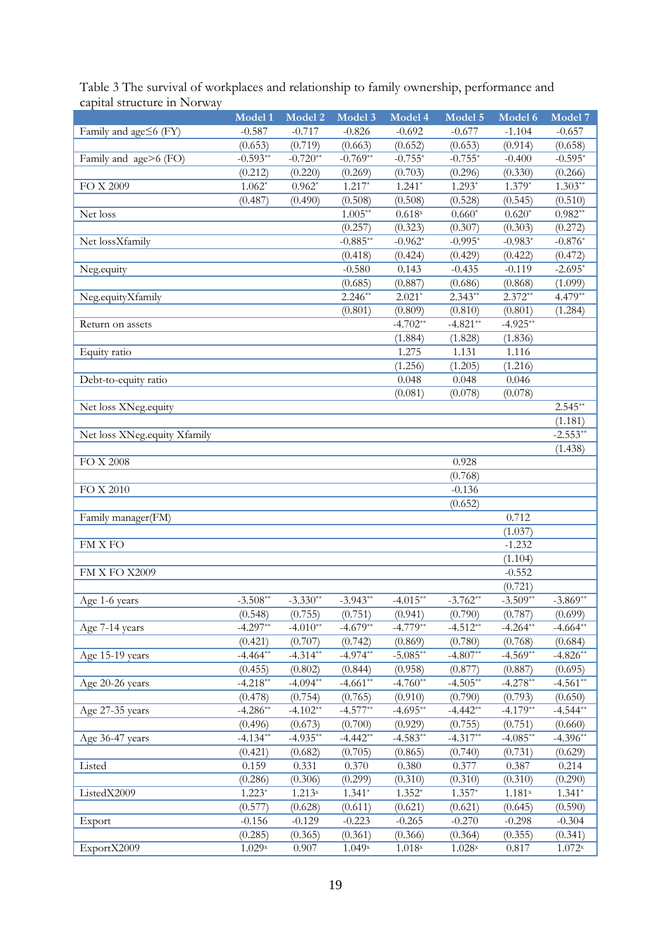| Table 3 The survival of workplaces and relationship to family ownership, performance and |  |  |
|------------------------------------------------------------------------------------------|--|--|
| capital structure in Norway                                                              |  |  |

| Family and age≤6 (FY)<br>$-0.587$<br>$-0.717$<br>$-0.826$<br>$-0.692$<br>$-1.104$<br>$-0.657$<br>(0.653)<br>(0.719)<br>(0.663)<br>(0.652)<br>(0.653)<br>(0.658)<br>(0.914)<br>$-0.593**$<br>$-0.720**$<br>$-0.769**$<br>$-0.755*$<br>$-0.755*$<br>Family and age>6 (FO)<br>$-0.400$<br>$-0.595*$<br>(0.703)<br>(0.296)<br>(0.266)<br>(0.212)<br>(0.269)<br>(0.330)<br>(0.220)<br>$1.241*$<br>$1.303**$<br>$1.062*$<br>$0.962*$<br>$1.217*$<br>$1.293*$<br>$1.379*$<br>FO X 2009<br>(0.508)<br>(0.487)<br>(0.490)<br>(0.508)<br>(0.528)<br>(0.545)<br>(0.510)<br>$1.005**$<br>0.618x<br>$0.660*$<br>$0.620*$<br>$0.982**$<br>Net loss<br>(0.257)<br>(0.307)<br>(0.323)<br>(0.303)<br>(0.272)<br>$-0.885**$<br>Net lossXfamily<br>$-0.962*$<br>$-0.995*$<br>$-0.983*$<br>$-0.876*$<br>(0.418)<br>(0.424)<br>(0.429)<br>(0.422)<br>(0.472)<br>Neg.equity<br>$-0.580$<br>0.143<br>$-0.435$<br>$-0.119$<br>$-2.695*$<br>(0.686)<br>(0.685)<br>(0.887)<br>(0.868)<br>(1.099)<br>$2.021*$<br>$2.343**$<br>$2.372**$<br>$4.479**$<br>$2.246**$<br>Neg.equityXfamily<br>(0.801)<br>(0.809)<br>(0.810)<br>(1.284)<br>(0.801)<br>$-4.702**$<br>$-4.821**$<br>$-4.925**$<br>Return on assets<br>(1.884)<br>(1.828)<br>(1.836)<br>1.275<br>1.131<br>1.116<br>Equity ratio<br>(1.256)<br>(1.216)<br>(1.205)<br>0.048<br>0.048<br>Debt-to-equity ratio<br>0.046<br>(0.081)<br>(0.078)<br>(0.078)<br>Net loss XNeg.equity<br>$2.545**$<br>(1.181)<br>$-2.553**$<br>Net loss XNeg.equity Xfamily<br>(1.438)<br>FO X 2008<br>0.928<br>(0.768)<br>$-0.136$<br>FO X 2010<br>(0.652)<br>0.712<br>Family manager(FM)<br>(1.037)<br>FM X FO<br>$-1.232$<br>(1.104)<br>FM X FO X2009<br>$-0.552$<br>(0.721)<br>$-3.508**$<br>$-3.330**$<br>$-3.943**$<br>$-4.015**$<br>$-3.509**$<br>$-3.762**$<br>$-3.869**$<br>Age 1-6 years<br>(0.751)<br>(0.790)<br>(0.548)<br>(0.755)<br>(0.941)<br>(0.787)<br>(0.699)<br>$-4.779**$<br>$-4.664**$<br>$-4.297**$<br>$-4.010**$<br>$-4.679**$<br>$-4.512**$<br>$-4.264**$<br>Age 7-14 years<br>(0.707)<br>(0.742)<br>(0.780)<br>(0.768)<br>(0.684)<br>(0.421)<br>(0.869)<br>$-4.974**$<br>$-5.085**$<br>$-4.807**$<br>$-4.569**$<br>$-4.826**$<br>$-4.464**$<br>$-4.314**$<br>Age 15-19 years<br>(0.455)<br>(0.802)<br>(0.844)<br>(0.958)<br>(0.877)<br>(0.695)<br>(0.887)<br>$-4.218**$<br>$-4.094**$<br>$-4.661**$<br>$-4.760**$<br>$-4.505**$<br>$-4.278**$<br>$-4.561**$<br>Age 20-26 years<br>(0.478)<br>(0.765)<br>(0.790)<br>(0.650)<br>(0.754)<br>(0.910)<br>(0.793)<br>$-4.286**$<br>$-4.695**$<br>$-4.442**$<br>$-4.544**$<br>$-4.102**$<br>$-4.577**$<br>$-4.179**$<br>Age 27-35 years<br>(0.673)<br>(0.755)<br>(0.660)<br>(0.496)<br>(0.700)<br>(0.929)<br>(0.751)<br>$-4.134**$<br>$-4.935**$<br>$-4.442**$<br>$-4.583**$<br>$-4.317**$<br>$-4.085**$<br>$-4.396**$<br>Age 36-47 years<br>(0.705)<br>(0.731)<br>(0.629)<br>(0.421)<br>(0.682)<br>(0.865)<br>(0.740)<br>0.377<br>0.159<br>0.370<br>0.380<br>0.331<br>0.387<br>0.214<br>Listed<br>(0.286)<br>(0.306)<br>(0.299)<br>(0.310)<br>(0.310)<br>(0.310)<br>(0.290)<br>$1.223*$<br>$1.352*$<br>$1.357*$<br>$1.213^{x}$<br>$1.341*$<br>$1.181^{\rm x}$<br>$1.341*$<br>ListedX2009<br>(0.577)<br>(0.621)<br>(0.621)<br>(0.590)<br>(0.628)<br>(0.611)<br>(0.645)<br>$-0.156$<br>$-0.129$<br>$-0.223$<br>$-0.265$<br>$-0.270$<br>$-0.298$<br>$-0.304$<br>Export<br>(0.364)<br>(0.285)<br>(0.365)<br>(0.361)<br>(0.366)<br>(0.355)<br>(0.341) |             | Model 1 | Model 2 | Model 3 | Model 4            | Model 5            | Model 6 | Model 7            |
|-------------------------------------------------------------------------------------------------------------------------------------------------------------------------------------------------------------------------------------------------------------------------------------------------------------------------------------------------------------------------------------------------------------------------------------------------------------------------------------------------------------------------------------------------------------------------------------------------------------------------------------------------------------------------------------------------------------------------------------------------------------------------------------------------------------------------------------------------------------------------------------------------------------------------------------------------------------------------------------------------------------------------------------------------------------------------------------------------------------------------------------------------------------------------------------------------------------------------------------------------------------------------------------------------------------------------------------------------------------------------------------------------------------------------------------------------------------------------------------------------------------------------------------------------------------------------------------------------------------------------------------------------------------------------------------------------------------------------------------------------------------------------------------------------------------------------------------------------------------------------------------------------------------------------------------------------------------------------------------------------------------------------------------------------------------------------------------------------------------------------------------------------------------------------------------------------------------------------------------------------------------------------------------------------------------------------------------------------------------------------------------------------------------------------------------------------------------------------------------------------------------------------------------------------------------------------------------------------------------------------------------------------------------------------------------------------------------------------------------------------------------------------------------------------------------------------------------------------------------------------------------------------------------------------------------------------------------------------------------------------------------------------------------------------------------------------------------------------------------------------------------------------------------------------------------------------------------------------------------------------------------------------------------------------------------------------------------------------------------------------------------------------------------------------|-------------|---------|---------|---------|--------------------|--------------------|---------|--------------------|
|                                                                                                                                                                                                                                                                                                                                                                                                                                                                                                                                                                                                                                                                                                                                                                                                                                                                                                                                                                                                                                                                                                                                                                                                                                                                                                                                                                                                                                                                                                                                                                                                                                                                                                                                                                                                                                                                                                                                                                                                                                                                                                                                                                                                                                                                                                                                                                                                                                                                                                                                                                                                                                                                                                                                                                                                                                                                                                                                                                                                                                                                                                                                                                                                                                                                                                                                                                                                                         |             |         |         |         |                    | $-0.677$           |         |                    |
|                                                                                                                                                                                                                                                                                                                                                                                                                                                                                                                                                                                                                                                                                                                                                                                                                                                                                                                                                                                                                                                                                                                                                                                                                                                                                                                                                                                                                                                                                                                                                                                                                                                                                                                                                                                                                                                                                                                                                                                                                                                                                                                                                                                                                                                                                                                                                                                                                                                                                                                                                                                                                                                                                                                                                                                                                                                                                                                                                                                                                                                                                                                                                                                                                                                                                                                                                                                                                         |             |         |         |         |                    |                    |         |                    |
|                                                                                                                                                                                                                                                                                                                                                                                                                                                                                                                                                                                                                                                                                                                                                                                                                                                                                                                                                                                                                                                                                                                                                                                                                                                                                                                                                                                                                                                                                                                                                                                                                                                                                                                                                                                                                                                                                                                                                                                                                                                                                                                                                                                                                                                                                                                                                                                                                                                                                                                                                                                                                                                                                                                                                                                                                                                                                                                                                                                                                                                                                                                                                                                                                                                                                                                                                                                                                         |             |         |         |         |                    |                    |         |                    |
|                                                                                                                                                                                                                                                                                                                                                                                                                                                                                                                                                                                                                                                                                                                                                                                                                                                                                                                                                                                                                                                                                                                                                                                                                                                                                                                                                                                                                                                                                                                                                                                                                                                                                                                                                                                                                                                                                                                                                                                                                                                                                                                                                                                                                                                                                                                                                                                                                                                                                                                                                                                                                                                                                                                                                                                                                                                                                                                                                                                                                                                                                                                                                                                                                                                                                                                                                                                                                         |             |         |         |         |                    |                    |         |                    |
|                                                                                                                                                                                                                                                                                                                                                                                                                                                                                                                                                                                                                                                                                                                                                                                                                                                                                                                                                                                                                                                                                                                                                                                                                                                                                                                                                                                                                                                                                                                                                                                                                                                                                                                                                                                                                                                                                                                                                                                                                                                                                                                                                                                                                                                                                                                                                                                                                                                                                                                                                                                                                                                                                                                                                                                                                                                                                                                                                                                                                                                                                                                                                                                                                                                                                                                                                                                                                         |             |         |         |         |                    |                    |         |                    |
|                                                                                                                                                                                                                                                                                                                                                                                                                                                                                                                                                                                                                                                                                                                                                                                                                                                                                                                                                                                                                                                                                                                                                                                                                                                                                                                                                                                                                                                                                                                                                                                                                                                                                                                                                                                                                                                                                                                                                                                                                                                                                                                                                                                                                                                                                                                                                                                                                                                                                                                                                                                                                                                                                                                                                                                                                                                                                                                                                                                                                                                                                                                                                                                                                                                                                                                                                                                                                         |             |         |         |         |                    |                    |         |                    |
|                                                                                                                                                                                                                                                                                                                                                                                                                                                                                                                                                                                                                                                                                                                                                                                                                                                                                                                                                                                                                                                                                                                                                                                                                                                                                                                                                                                                                                                                                                                                                                                                                                                                                                                                                                                                                                                                                                                                                                                                                                                                                                                                                                                                                                                                                                                                                                                                                                                                                                                                                                                                                                                                                                                                                                                                                                                                                                                                                                                                                                                                                                                                                                                                                                                                                                                                                                                                                         |             |         |         |         |                    |                    |         |                    |
|                                                                                                                                                                                                                                                                                                                                                                                                                                                                                                                                                                                                                                                                                                                                                                                                                                                                                                                                                                                                                                                                                                                                                                                                                                                                                                                                                                                                                                                                                                                                                                                                                                                                                                                                                                                                                                                                                                                                                                                                                                                                                                                                                                                                                                                                                                                                                                                                                                                                                                                                                                                                                                                                                                                                                                                                                                                                                                                                                                                                                                                                                                                                                                                                                                                                                                                                                                                                                         |             |         |         |         |                    |                    |         |                    |
|                                                                                                                                                                                                                                                                                                                                                                                                                                                                                                                                                                                                                                                                                                                                                                                                                                                                                                                                                                                                                                                                                                                                                                                                                                                                                                                                                                                                                                                                                                                                                                                                                                                                                                                                                                                                                                                                                                                                                                                                                                                                                                                                                                                                                                                                                                                                                                                                                                                                                                                                                                                                                                                                                                                                                                                                                                                                                                                                                                                                                                                                                                                                                                                                                                                                                                                                                                                                                         |             |         |         |         |                    |                    |         |                    |
|                                                                                                                                                                                                                                                                                                                                                                                                                                                                                                                                                                                                                                                                                                                                                                                                                                                                                                                                                                                                                                                                                                                                                                                                                                                                                                                                                                                                                                                                                                                                                                                                                                                                                                                                                                                                                                                                                                                                                                                                                                                                                                                                                                                                                                                                                                                                                                                                                                                                                                                                                                                                                                                                                                                                                                                                                                                                                                                                                                                                                                                                                                                                                                                                                                                                                                                                                                                                                         |             |         |         |         |                    |                    |         |                    |
|                                                                                                                                                                                                                                                                                                                                                                                                                                                                                                                                                                                                                                                                                                                                                                                                                                                                                                                                                                                                                                                                                                                                                                                                                                                                                                                                                                                                                                                                                                                                                                                                                                                                                                                                                                                                                                                                                                                                                                                                                                                                                                                                                                                                                                                                                                                                                                                                                                                                                                                                                                                                                                                                                                                                                                                                                                                                                                                                                                                                                                                                                                                                                                                                                                                                                                                                                                                                                         |             |         |         |         |                    |                    |         |                    |
|                                                                                                                                                                                                                                                                                                                                                                                                                                                                                                                                                                                                                                                                                                                                                                                                                                                                                                                                                                                                                                                                                                                                                                                                                                                                                                                                                                                                                                                                                                                                                                                                                                                                                                                                                                                                                                                                                                                                                                                                                                                                                                                                                                                                                                                                                                                                                                                                                                                                                                                                                                                                                                                                                                                                                                                                                                                                                                                                                                                                                                                                                                                                                                                                                                                                                                                                                                                                                         |             |         |         |         |                    |                    |         |                    |
|                                                                                                                                                                                                                                                                                                                                                                                                                                                                                                                                                                                                                                                                                                                                                                                                                                                                                                                                                                                                                                                                                                                                                                                                                                                                                                                                                                                                                                                                                                                                                                                                                                                                                                                                                                                                                                                                                                                                                                                                                                                                                                                                                                                                                                                                                                                                                                                                                                                                                                                                                                                                                                                                                                                                                                                                                                                                                                                                                                                                                                                                                                                                                                                                                                                                                                                                                                                                                         |             |         |         |         |                    |                    |         |                    |
|                                                                                                                                                                                                                                                                                                                                                                                                                                                                                                                                                                                                                                                                                                                                                                                                                                                                                                                                                                                                                                                                                                                                                                                                                                                                                                                                                                                                                                                                                                                                                                                                                                                                                                                                                                                                                                                                                                                                                                                                                                                                                                                                                                                                                                                                                                                                                                                                                                                                                                                                                                                                                                                                                                                                                                                                                                                                                                                                                                                                                                                                                                                                                                                                                                                                                                                                                                                                                         |             |         |         |         |                    |                    |         |                    |
|                                                                                                                                                                                                                                                                                                                                                                                                                                                                                                                                                                                                                                                                                                                                                                                                                                                                                                                                                                                                                                                                                                                                                                                                                                                                                                                                                                                                                                                                                                                                                                                                                                                                                                                                                                                                                                                                                                                                                                                                                                                                                                                                                                                                                                                                                                                                                                                                                                                                                                                                                                                                                                                                                                                                                                                                                                                                                                                                                                                                                                                                                                                                                                                                                                                                                                                                                                                                                         |             |         |         |         |                    |                    |         |                    |
|                                                                                                                                                                                                                                                                                                                                                                                                                                                                                                                                                                                                                                                                                                                                                                                                                                                                                                                                                                                                                                                                                                                                                                                                                                                                                                                                                                                                                                                                                                                                                                                                                                                                                                                                                                                                                                                                                                                                                                                                                                                                                                                                                                                                                                                                                                                                                                                                                                                                                                                                                                                                                                                                                                                                                                                                                                                                                                                                                                                                                                                                                                                                                                                                                                                                                                                                                                                                                         |             |         |         |         |                    |                    |         |                    |
|                                                                                                                                                                                                                                                                                                                                                                                                                                                                                                                                                                                                                                                                                                                                                                                                                                                                                                                                                                                                                                                                                                                                                                                                                                                                                                                                                                                                                                                                                                                                                                                                                                                                                                                                                                                                                                                                                                                                                                                                                                                                                                                                                                                                                                                                                                                                                                                                                                                                                                                                                                                                                                                                                                                                                                                                                                                                                                                                                                                                                                                                                                                                                                                                                                                                                                                                                                                                                         |             |         |         |         |                    |                    |         |                    |
|                                                                                                                                                                                                                                                                                                                                                                                                                                                                                                                                                                                                                                                                                                                                                                                                                                                                                                                                                                                                                                                                                                                                                                                                                                                                                                                                                                                                                                                                                                                                                                                                                                                                                                                                                                                                                                                                                                                                                                                                                                                                                                                                                                                                                                                                                                                                                                                                                                                                                                                                                                                                                                                                                                                                                                                                                                                                                                                                                                                                                                                                                                                                                                                                                                                                                                                                                                                                                         |             |         |         |         |                    |                    |         |                    |
|                                                                                                                                                                                                                                                                                                                                                                                                                                                                                                                                                                                                                                                                                                                                                                                                                                                                                                                                                                                                                                                                                                                                                                                                                                                                                                                                                                                                                                                                                                                                                                                                                                                                                                                                                                                                                                                                                                                                                                                                                                                                                                                                                                                                                                                                                                                                                                                                                                                                                                                                                                                                                                                                                                                                                                                                                                                                                                                                                                                                                                                                                                                                                                                                                                                                                                                                                                                                                         |             |         |         |         |                    |                    |         |                    |
|                                                                                                                                                                                                                                                                                                                                                                                                                                                                                                                                                                                                                                                                                                                                                                                                                                                                                                                                                                                                                                                                                                                                                                                                                                                                                                                                                                                                                                                                                                                                                                                                                                                                                                                                                                                                                                                                                                                                                                                                                                                                                                                                                                                                                                                                                                                                                                                                                                                                                                                                                                                                                                                                                                                                                                                                                                                                                                                                                                                                                                                                                                                                                                                                                                                                                                                                                                                                                         |             |         |         |         |                    |                    |         |                    |
|                                                                                                                                                                                                                                                                                                                                                                                                                                                                                                                                                                                                                                                                                                                                                                                                                                                                                                                                                                                                                                                                                                                                                                                                                                                                                                                                                                                                                                                                                                                                                                                                                                                                                                                                                                                                                                                                                                                                                                                                                                                                                                                                                                                                                                                                                                                                                                                                                                                                                                                                                                                                                                                                                                                                                                                                                                                                                                                                                                                                                                                                                                                                                                                                                                                                                                                                                                                                                         |             |         |         |         |                    |                    |         |                    |
|                                                                                                                                                                                                                                                                                                                                                                                                                                                                                                                                                                                                                                                                                                                                                                                                                                                                                                                                                                                                                                                                                                                                                                                                                                                                                                                                                                                                                                                                                                                                                                                                                                                                                                                                                                                                                                                                                                                                                                                                                                                                                                                                                                                                                                                                                                                                                                                                                                                                                                                                                                                                                                                                                                                                                                                                                                                                                                                                                                                                                                                                                                                                                                                                                                                                                                                                                                                                                         |             |         |         |         |                    |                    |         |                    |
|                                                                                                                                                                                                                                                                                                                                                                                                                                                                                                                                                                                                                                                                                                                                                                                                                                                                                                                                                                                                                                                                                                                                                                                                                                                                                                                                                                                                                                                                                                                                                                                                                                                                                                                                                                                                                                                                                                                                                                                                                                                                                                                                                                                                                                                                                                                                                                                                                                                                                                                                                                                                                                                                                                                                                                                                                                                                                                                                                                                                                                                                                                                                                                                                                                                                                                                                                                                                                         |             |         |         |         |                    |                    |         |                    |
|                                                                                                                                                                                                                                                                                                                                                                                                                                                                                                                                                                                                                                                                                                                                                                                                                                                                                                                                                                                                                                                                                                                                                                                                                                                                                                                                                                                                                                                                                                                                                                                                                                                                                                                                                                                                                                                                                                                                                                                                                                                                                                                                                                                                                                                                                                                                                                                                                                                                                                                                                                                                                                                                                                                                                                                                                                                                                                                                                                                                                                                                                                                                                                                                                                                                                                                                                                                                                         |             |         |         |         |                    |                    |         |                    |
|                                                                                                                                                                                                                                                                                                                                                                                                                                                                                                                                                                                                                                                                                                                                                                                                                                                                                                                                                                                                                                                                                                                                                                                                                                                                                                                                                                                                                                                                                                                                                                                                                                                                                                                                                                                                                                                                                                                                                                                                                                                                                                                                                                                                                                                                                                                                                                                                                                                                                                                                                                                                                                                                                                                                                                                                                                                                                                                                                                                                                                                                                                                                                                                                                                                                                                                                                                                                                         |             |         |         |         |                    |                    |         |                    |
|                                                                                                                                                                                                                                                                                                                                                                                                                                                                                                                                                                                                                                                                                                                                                                                                                                                                                                                                                                                                                                                                                                                                                                                                                                                                                                                                                                                                                                                                                                                                                                                                                                                                                                                                                                                                                                                                                                                                                                                                                                                                                                                                                                                                                                                                                                                                                                                                                                                                                                                                                                                                                                                                                                                                                                                                                                                                                                                                                                                                                                                                                                                                                                                                                                                                                                                                                                                                                         |             |         |         |         |                    |                    |         |                    |
|                                                                                                                                                                                                                                                                                                                                                                                                                                                                                                                                                                                                                                                                                                                                                                                                                                                                                                                                                                                                                                                                                                                                                                                                                                                                                                                                                                                                                                                                                                                                                                                                                                                                                                                                                                                                                                                                                                                                                                                                                                                                                                                                                                                                                                                                                                                                                                                                                                                                                                                                                                                                                                                                                                                                                                                                                                                                                                                                                                                                                                                                                                                                                                                                                                                                                                                                                                                                                         |             |         |         |         |                    |                    |         |                    |
|                                                                                                                                                                                                                                                                                                                                                                                                                                                                                                                                                                                                                                                                                                                                                                                                                                                                                                                                                                                                                                                                                                                                                                                                                                                                                                                                                                                                                                                                                                                                                                                                                                                                                                                                                                                                                                                                                                                                                                                                                                                                                                                                                                                                                                                                                                                                                                                                                                                                                                                                                                                                                                                                                                                                                                                                                                                                                                                                                                                                                                                                                                                                                                                                                                                                                                                                                                                                                         |             |         |         |         |                    |                    |         |                    |
|                                                                                                                                                                                                                                                                                                                                                                                                                                                                                                                                                                                                                                                                                                                                                                                                                                                                                                                                                                                                                                                                                                                                                                                                                                                                                                                                                                                                                                                                                                                                                                                                                                                                                                                                                                                                                                                                                                                                                                                                                                                                                                                                                                                                                                                                                                                                                                                                                                                                                                                                                                                                                                                                                                                                                                                                                                                                                                                                                                                                                                                                                                                                                                                                                                                                                                                                                                                                                         |             |         |         |         |                    |                    |         |                    |
|                                                                                                                                                                                                                                                                                                                                                                                                                                                                                                                                                                                                                                                                                                                                                                                                                                                                                                                                                                                                                                                                                                                                                                                                                                                                                                                                                                                                                                                                                                                                                                                                                                                                                                                                                                                                                                                                                                                                                                                                                                                                                                                                                                                                                                                                                                                                                                                                                                                                                                                                                                                                                                                                                                                                                                                                                                                                                                                                                                                                                                                                                                                                                                                                                                                                                                                                                                                                                         |             |         |         |         |                    |                    |         |                    |
|                                                                                                                                                                                                                                                                                                                                                                                                                                                                                                                                                                                                                                                                                                                                                                                                                                                                                                                                                                                                                                                                                                                                                                                                                                                                                                                                                                                                                                                                                                                                                                                                                                                                                                                                                                                                                                                                                                                                                                                                                                                                                                                                                                                                                                                                                                                                                                                                                                                                                                                                                                                                                                                                                                                                                                                                                                                                                                                                                                                                                                                                                                                                                                                                                                                                                                                                                                                                                         |             |         |         |         |                    |                    |         |                    |
|                                                                                                                                                                                                                                                                                                                                                                                                                                                                                                                                                                                                                                                                                                                                                                                                                                                                                                                                                                                                                                                                                                                                                                                                                                                                                                                                                                                                                                                                                                                                                                                                                                                                                                                                                                                                                                                                                                                                                                                                                                                                                                                                                                                                                                                                                                                                                                                                                                                                                                                                                                                                                                                                                                                                                                                                                                                                                                                                                                                                                                                                                                                                                                                                                                                                                                                                                                                                                         |             |         |         |         |                    |                    |         |                    |
|                                                                                                                                                                                                                                                                                                                                                                                                                                                                                                                                                                                                                                                                                                                                                                                                                                                                                                                                                                                                                                                                                                                                                                                                                                                                                                                                                                                                                                                                                                                                                                                                                                                                                                                                                                                                                                                                                                                                                                                                                                                                                                                                                                                                                                                                                                                                                                                                                                                                                                                                                                                                                                                                                                                                                                                                                                                                                                                                                                                                                                                                                                                                                                                                                                                                                                                                                                                                                         |             |         |         |         |                    |                    |         |                    |
|                                                                                                                                                                                                                                                                                                                                                                                                                                                                                                                                                                                                                                                                                                                                                                                                                                                                                                                                                                                                                                                                                                                                                                                                                                                                                                                                                                                                                                                                                                                                                                                                                                                                                                                                                                                                                                                                                                                                                                                                                                                                                                                                                                                                                                                                                                                                                                                                                                                                                                                                                                                                                                                                                                                                                                                                                                                                                                                                                                                                                                                                                                                                                                                                                                                                                                                                                                                                                         |             |         |         |         |                    |                    |         |                    |
|                                                                                                                                                                                                                                                                                                                                                                                                                                                                                                                                                                                                                                                                                                                                                                                                                                                                                                                                                                                                                                                                                                                                                                                                                                                                                                                                                                                                                                                                                                                                                                                                                                                                                                                                                                                                                                                                                                                                                                                                                                                                                                                                                                                                                                                                                                                                                                                                                                                                                                                                                                                                                                                                                                                                                                                                                                                                                                                                                                                                                                                                                                                                                                                                                                                                                                                                                                                                                         |             |         |         |         |                    |                    |         |                    |
|                                                                                                                                                                                                                                                                                                                                                                                                                                                                                                                                                                                                                                                                                                                                                                                                                                                                                                                                                                                                                                                                                                                                                                                                                                                                                                                                                                                                                                                                                                                                                                                                                                                                                                                                                                                                                                                                                                                                                                                                                                                                                                                                                                                                                                                                                                                                                                                                                                                                                                                                                                                                                                                                                                                                                                                                                                                                                                                                                                                                                                                                                                                                                                                                                                                                                                                                                                                                                         |             |         |         |         |                    |                    |         |                    |
|                                                                                                                                                                                                                                                                                                                                                                                                                                                                                                                                                                                                                                                                                                                                                                                                                                                                                                                                                                                                                                                                                                                                                                                                                                                                                                                                                                                                                                                                                                                                                                                                                                                                                                                                                                                                                                                                                                                                                                                                                                                                                                                                                                                                                                                                                                                                                                                                                                                                                                                                                                                                                                                                                                                                                                                                                                                                                                                                                                                                                                                                                                                                                                                                                                                                                                                                                                                                                         |             |         |         |         |                    |                    |         |                    |
|                                                                                                                                                                                                                                                                                                                                                                                                                                                                                                                                                                                                                                                                                                                                                                                                                                                                                                                                                                                                                                                                                                                                                                                                                                                                                                                                                                                                                                                                                                                                                                                                                                                                                                                                                                                                                                                                                                                                                                                                                                                                                                                                                                                                                                                                                                                                                                                                                                                                                                                                                                                                                                                                                                                                                                                                                                                                                                                                                                                                                                                                                                                                                                                                                                                                                                                                                                                                                         |             |         |         |         |                    |                    |         |                    |
|                                                                                                                                                                                                                                                                                                                                                                                                                                                                                                                                                                                                                                                                                                                                                                                                                                                                                                                                                                                                                                                                                                                                                                                                                                                                                                                                                                                                                                                                                                                                                                                                                                                                                                                                                                                                                                                                                                                                                                                                                                                                                                                                                                                                                                                                                                                                                                                                                                                                                                                                                                                                                                                                                                                                                                                                                                                                                                                                                                                                                                                                                                                                                                                                                                                                                                                                                                                                                         |             |         |         |         |                    |                    |         |                    |
|                                                                                                                                                                                                                                                                                                                                                                                                                                                                                                                                                                                                                                                                                                                                                                                                                                                                                                                                                                                                                                                                                                                                                                                                                                                                                                                                                                                                                                                                                                                                                                                                                                                                                                                                                                                                                                                                                                                                                                                                                                                                                                                                                                                                                                                                                                                                                                                                                                                                                                                                                                                                                                                                                                                                                                                                                                                                                                                                                                                                                                                                                                                                                                                                                                                                                                                                                                                                                         |             |         |         |         |                    |                    |         |                    |
|                                                                                                                                                                                                                                                                                                                                                                                                                                                                                                                                                                                                                                                                                                                                                                                                                                                                                                                                                                                                                                                                                                                                                                                                                                                                                                                                                                                                                                                                                                                                                                                                                                                                                                                                                                                                                                                                                                                                                                                                                                                                                                                                                                                                                                                                                                                                                                                                                                                                                                                                                                                                                                                                                                                                                                                                                                                                                                                                                                                                                                                                                                                                                                                                                                                                                                                                                                                                                         |             |         |         |         |                    |                    |         |                    |
|                                                                                                                                                                                                                                                                                                                                                                                                                                                                                                                                                                                                                                                                                                                                                                                                                                                                                                                                                                                                                                                                                                                                                                                                                                                                                                                                                                                                                                                                                                                                                                                                                                                                                                                                                                                                                                                                                                                                                                                                                                                                                                                                                                                                                                                                                                                                                                                                                                                                                                                                                                                                                                                                                                                                                                                                                                                                                                                                                                                                                                                                                                                                                                                                                                                                                                                                                                                                                         |             |         |         |         |                    |                    |         |                    |
|                                                                                                                                                                                                                                                                                                                                                                                                                                                                                                                                                                                                                                                                                                                                                                                                                                                                                                                                                                                                                                                                                                                                                                                                                                                                                                                                                                                                                                                                                                                                                                                                                                                                                                                                                                                                                                                                                                                                                                                                                                                                                                                                                                                                                                                                                                                                                                                                                                                                                                                                                                                                                                                                                                                                                                                                                                                                                                                                                                                                                                                                                                                                                                                                                                                                                                                                                                                                                         |             |         |         |         |                    |                    |         |                    |
|                                                                                                                                                                                                                                                                                                                                                                                                                                                                                                                                                                                                                                                                                                                                                                                                                                                                                                                                                                                                                                                                                                                                                                                                                                                                                                                                                                                                                                                                                                                                                                                                                                                                                                                                                                                                                                                                                                                                                                                                                                                                                                                                                                                                                                                                                                                                                                                                                                                                                                                                                                                                                                                                                                                                                                                                                                                                                                                                                                                                                                                                                                                                                                                                                                                                                                                                                                                                                         |             |         |         |         |                    |                    |         |                    |
|                                                                                                                                                                                                                                                                                                                                                                                                                                                                                                                                                                                                                                                                                                                                                                                                                                                                                                                                                                                                                                                                                                                                                                                                                                                                                                                                                                                                                                                                                                                                                                                                                                                                                                                                                                                                                                                                                                                                                                                                                                                                                                                                                                                                                                                                                                                                                                                                                                                                                                                                                                                                                                                                                                                                                                                                                                                                                                                                                                                                                                                                                                                                                                                                                                                                                                                                                                                                                         |             |         |         |         |                    |                    |         |                    |
|                                                                                                                                                                                                                                                                                                                                                                                                                                                                                                                                                                                                                                                                                                                                                                                                                                                                                                                                                                                                                                                                                                                                                                                                                                                                                                                                                                                                                                                                                                                                                                                                                                                                                                                                                                                                                                                                                                                                                                                                                                                                                                                                                                                                                                                                                                                                                                                                                                                                                                                                                                                                                                                                                                                                                                                                                                                                                                                                                                                                                                                                                                                                                                                                                                                                                                                                                                                                                         |             |         |         |         |                    |                    |         |                    |
|                                                                                                                                                                                                                                                                                                                                                                                                                                                                                                                                                                                                                                                                                                                                                                                                                                                                                                                                                                                                                                                                                                                                                                                                                                                                                                                                                                                                                                                                                                                                                                                                                                                                                                                                                                                                                                                                                                                                                                                                                                                                                                                                                                                                                                                                                                                                                                                                                                                                                                                                                                                                                                                                                                                                                                                                                                                                                                                                                                                                                                                                                                                                                                                                                                                                                                                                                                                                                         |             |         |         |         |                    |                    |         |                    |
|                                                                                                                                                                                                                                                                                                                                                                                                                                                                                                                                                                                                                                                                                                                                                                                                                                                                                                                                                                                                                                                                                                                                                                                                                                                                                                                                                                                                                                                                                                                                                                                                                                                                                                                                                                                                                                                                                                                                                                                                                                                                                                                                                                                                                                                                                                                                                                                                                                                                                                                                                                                                                                                                                                                                                                                                                                                                                                                                                                                                                                                                                                                                                                                                                                                                                                                                                                                                                         |             |         |         |         |                    |                    |         |                    |
|                                                                                                                                                                                                                                                                                                                                                                                                                                                                                                                                                                                                                                                                                                                                                                                                                                                                                                                                                                                                                                                                                                                                                                                                                                                                                                                                                                                                                                                                                                                                                                                                                                                                                                                                                                                                                                                                                                                                                                                                                                                                                                                                                                                                                                                                                                                                                                                                                                                                                                                                                                                                                                                                                                                                                                                                                                                                                                                                                                                                                                                                                                                                                                                                                                                                                                                                                                                                                         |             |         |         |         |                    |                    |         |                    |
|                                                                                                                                                                                                                                                                                                                                                                                                                                                                                                                                                                                                                                                                                                                                                                                                                                                                                                                                                                                                                                                                                                                                                                                                                                                                                                                                                                                                                                                                                                                                                                                                                                                                                                                                                                                                                                                                                                                                                                                                                                                                                                                                                                                                                                                                                                                                                                                                                                                                                                                                                                                                                                                                                                                                                                                                                                                                                                                                                                                                                                                                                                                                                                                                                                                                                                                                                                                                                         |             |         |         |         |                    |                    |         |                    |
|                                                                                                                                                                                                                                                                                                                                                                                                                                                                                                                                                                                                                                                                                                                                                                                                                                                                                                                                                                                                                                                                                                                                                                                                                                                                                                                                                                                                                                                                                                                                                                                                                                                                                                                                                                                                                                                                                                                                                                                                                                                                                                                                                                                                                                                                                                                                                                                                                                                                                                                                                                                                                                                                                                                                                                                                                                                                                                                                                                                                                                                                                                                                                                                                                                                                                                                                                                                                                         |             |         |         |         |                    |                    |         |                    |
|                                                                                                                                                                                                                                                                                                                                                                                                                                                                                                                                                                                                                                                                                                                                                                                                                                                                                                                                                                                                                                                                                                                                                                                                                                                                                                                                                                                                                                                                                                                                                                                                                                                                                                                                                                                                                                                                                                                                                                                                                                                                                                                                                                                                                                                                                                                                                                                                                                                                                                                                                                                                                                                                                                                                                                                                                                                                                                                                                                                                                                                                                                                                                                                                                                                                                                                                                                                                                         |             |         |         |         |                    |                    |         |                    |
|                                                                                                                                                                                                                                                                                                                                                                                                                                                                                                                                                                                                                                                                                                                                                                                                                                                                                                                                                                                                                                                                                                                                                                                                                                                                                                                                                                                                                                                                                                                                                                                                                                                                                                                                                                                                                                                                                                                                                                                                                                                                                                                                                                                                                                                                                                                                                                                                                                                                                                                                                                                                                                                                                                                                                                                                                                                                                                                                                                                                                                                                                                                                                                                                                                                                                                                                                                                                                         | ExportX2009 | 1.029x  | 0.907   | 1.049x  | $1.018\mathrm{^x}$ | $1.028\mathrm{^x}$ | 0.817   | $1.072\mathrm{^x}$ |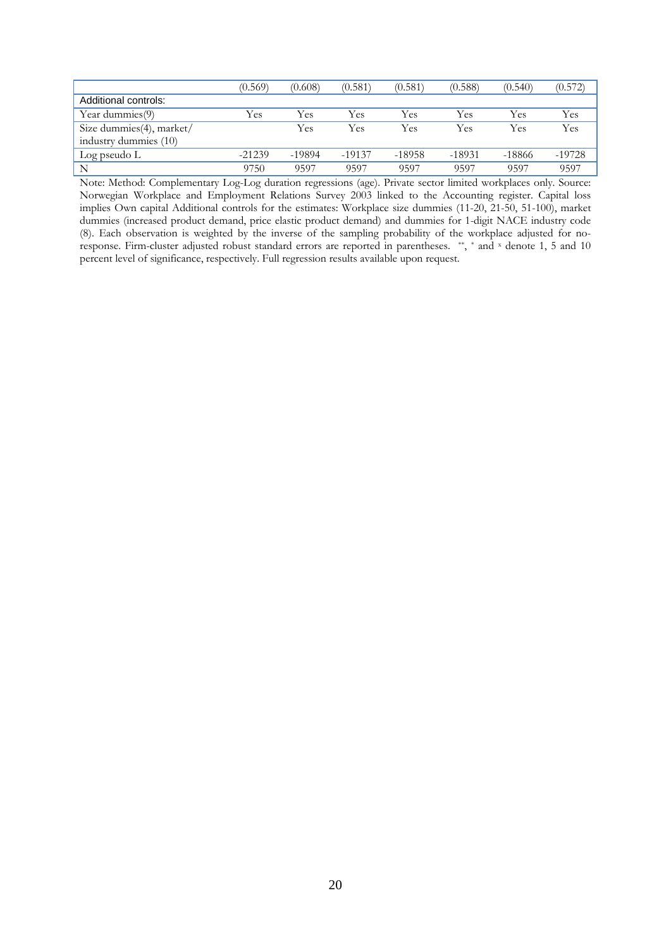|                                                   | (0.569)  | (0.608)  | (0.581)  | (0.581)  | (0.588)  | (0.540)  | (0.572)  |
|---------------------------------------------------|----------|----------|----------|----------|----------|----------|----------|
| Additional controls:                              |          |          |          |          |          |          |          |
| Year dummies(9)                                   | Yes      | Yes      | Yes      | Yes      | Yes      | Yes      | Yes      |
| Size dummies(4), market/<br>industry dummies (10) |          | Yes      | Yes      | Yes      | Yes      | Yes      | Yes      |
| Log pseudo L                                      | $-21239$ | $-19894$ | $-19137$ | $-18958$ | $-18931$ | $-18866$ | $-19728$ |
| N                                                 | 9750     | 9597     | 9597     | 9597     | 9597     | 9597     | 9597     |

Note: Method: Complementary Log-Log duration regressions (age). Private sector limited workplaces only. Source: Norwegian Workplace and Employment Relations Survey 2003 linked to the Accounting register. Capital loss implies Own capital Additional controls for the estimates: Workplace size dummies (11-20, 21-50, 51-100), market dummies (increased product demand, price elastic product demand) and dummies for 1-digit NACE industry code (8). Each observation is weighted by the inverse of the sampling probability of the workplace adjusted for noresponse. Firm-cluster adjusted robust standard errors are reported in parentheses. \*\*, \* and x denote 1, 5 and 10 percent level of significance, respectively. Full regression results available upon request.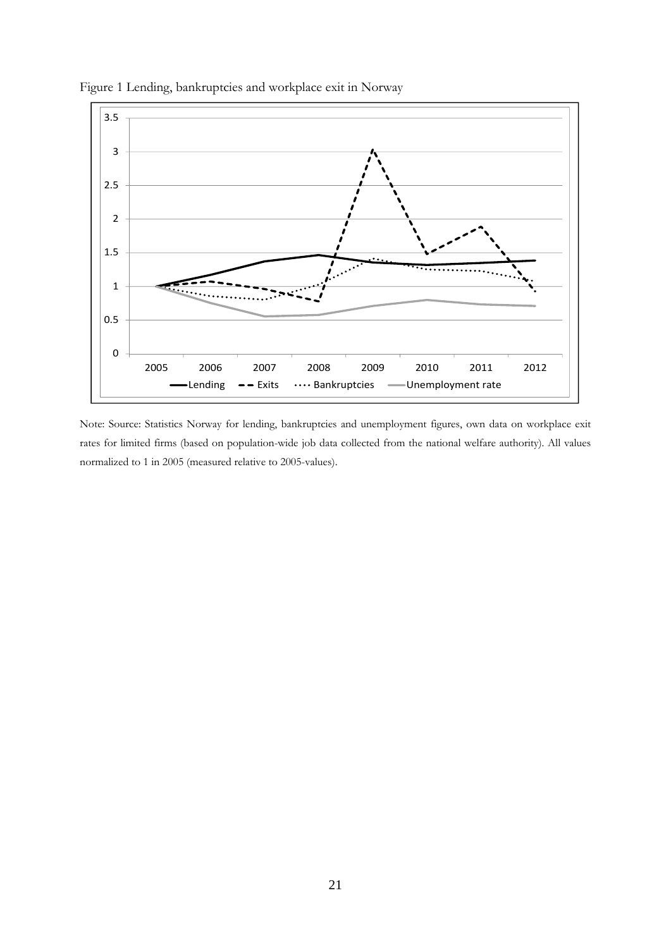

Figure 1 Lending, bankruptcies and workplace exit in Norway

Note: Source: Statistics Norway for lending, bankruptcies and unemployment figures, own data on workplace exit rates for limited firms (based on population-wide job data collected from the national welfare authority). All values normalized to 1 in 2005 (measured relative to 2005-values).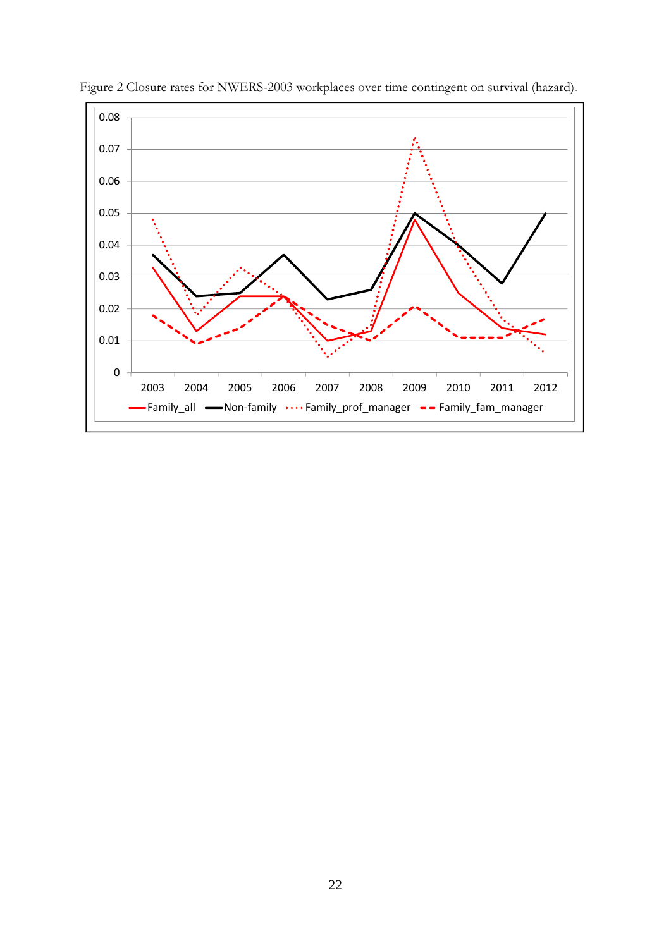

Figure 2 Closure rates for NWERS-2003 workplaces over time contingent on survival (hazard).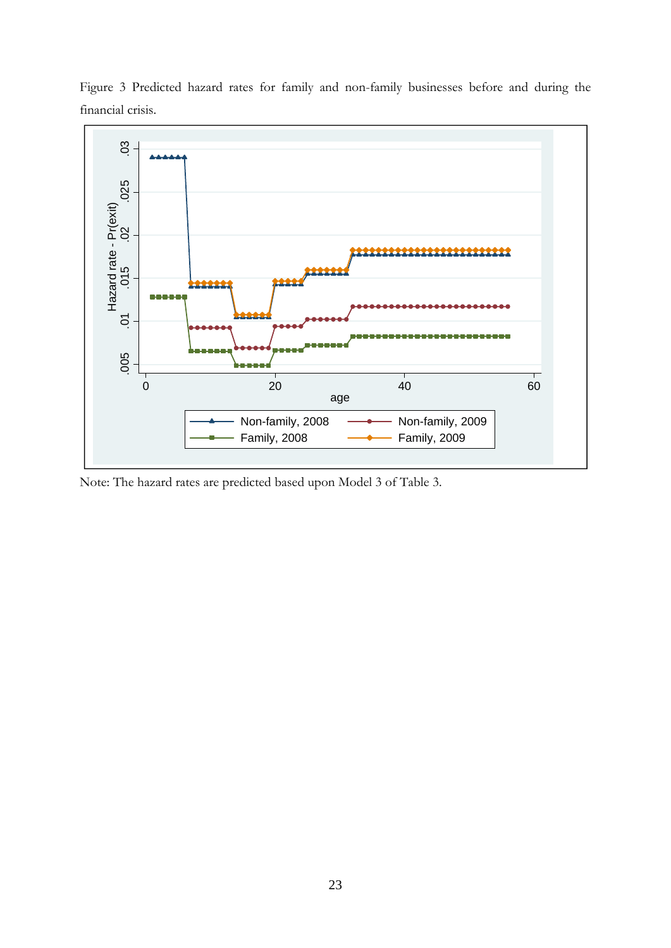

Figure 3 Predicted hazard rates for family and non-family businesses before and during the financial crisis.